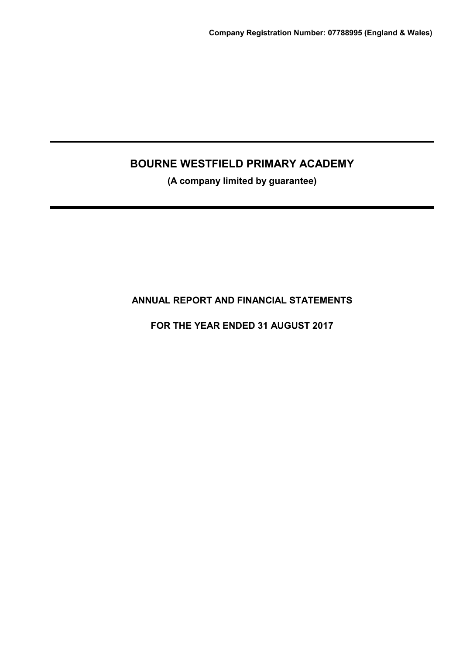(A company limited by guarantee)

ANNUAL REPORT AND FINANCIAL STATEMENTS

FOR THE YEAR ENDED 31 AUGUST 2017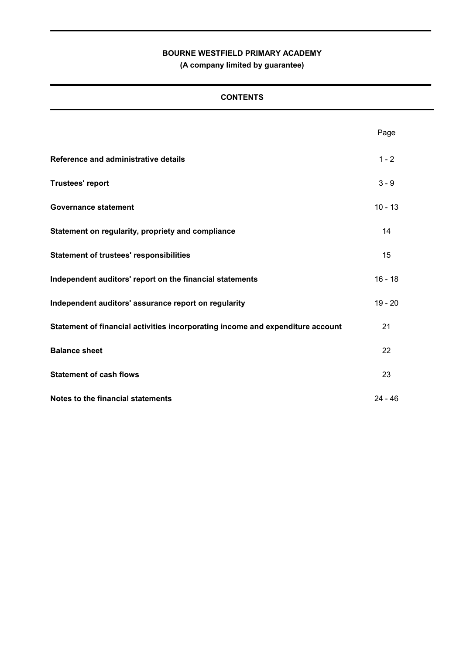(A company limited by guarantee)

# **CONTENTS**

|                                                                                | Page      |
|--------------------------------------------------------------------------------|-----------|
| Reference and administrative details                                           | $1 - 2$   |
| <b>Trustees' report</b>                                                        | $3 - 9$   |
| <b>Governance statement</b>                                                    | $10 - 13$ |
| Statement on regularity, propriety and compliance                              | 14        |
| <b>Statement of trustees' responsibilities</b>                                 | 15        |
| Independent auditors' report on the financial statements                       | $16 - 18$ |
| Independent auditors' assurance report on regularity                           | $19 - 20$ |
| Statement of financial activities incorporating income and expenditure account | 21        |
| <b>Balance sheet</b>                                                           | 22        |
| <b>Statement of cash flows</b>                                                 | 23        |
| Notes to the financial statements                                              | $24 - 46$ |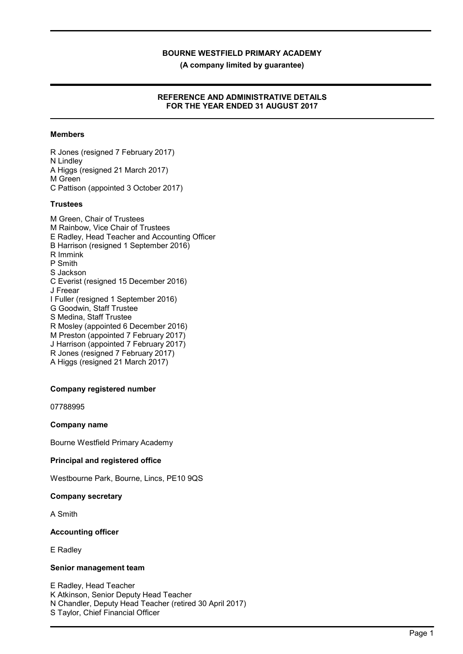(A company limited by guarantee)

### REFERENCE AND ADMINISTRATIVE DETAILS FOR THE YEAR ENDED 31 AUGUST 2017

### Members

R Jones (resigned 7 February 2017) N Lindley A Higgs (resigned 21 March 2017) M Green C Pattison (appointed 3 October 2017)

#### **Trustees**

M Green, Chair of Trustees M Rainbow, Vice Chair of Trustees E Radley, Head Teacher and Accounting Officer B Harrison (resigned 1 September 2016) R Immink P Smith S Jackson C Everist (resigned 15 December 2016) J Freear I Fuller (resigned 1 September 2016) G Goodwin, Staff Trustee S Medina, Staff Trustee R Mosley (appointed 6 December 2016) M Preston (appointed 7 February 2017) J Harrison (appointed 7 February 2017) R Jones (resigned 7 February 2017) A Higgs (resigned 21 March 2017)

#### Company registered number

07788995

#### Company name

Bourne Westfield Primary Academy

#### Principal and registered office

Westbourne Park, Bourne, Lincs, PE10 9QS

#### Company secretary

A Smith

#### Accounting officer

E Radley

#### Senior management team

E Radley, Head Teacher K Atkinson, Senior Deputy Head Teacher N Chandler, Deputy Head Teacher (retired 30 April 2017) S Taylor, Chief Financial Officer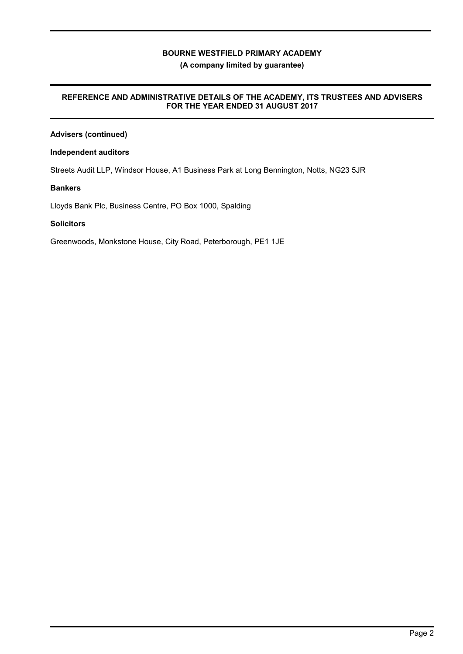### (A company limited by guarantee)

### REFERENCE AND ADMINISTRATIVE DETAILS OF THE ACADEMY, ITS TRUSTEES AND ADVISERS FOR THE YEAR ENDED 31 AUGUST 2017

# Advisers (continued)

### Independent auditors

Streets Audit LLP, Windsor House, A1 Business Park at Long Bennington, Notts, NG23 5JR

### Bankers

Lloyds Bank Plc, Business Centre, PO Box 1000, Spalding

### **Solicitors**

Greenwoods, Monkstone House, City Road, Peterborough, PE1 1JE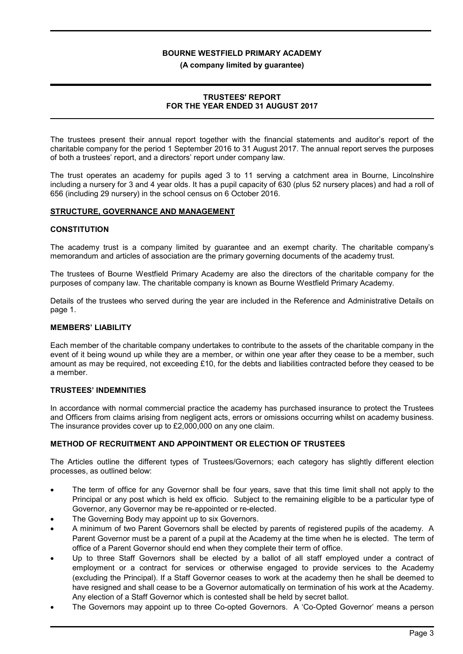#### (A company limited by guarantee)

### TRUSTEES' REPORT FOR THE YEAR ENDED 31 AUGUST 2017

The trustees present their annual report together with the financial statements and auditor's report of the charitable company for the period 1 September 2016 to 31 August 2017. The annual report serves the purposes of both a trustees' report, and a directors' report under company law.

The trust operates an academy for pupils aged 3 to 11 serving a catchment area in Bourne, Lincolnshire including a nursery for 3 and 4 year olds. It has a pupil capacity of 630 (plus 52 nursery places) and had a roll of 656 (including 29 nursery) in the school census on 6 October 2016.

#### STRUCTURE, GOVERNANCE AND MANAGEMENT

#### **CONSTITUTION**

The academy trust is a company limited by guarantee and an exempt charity. The charitable company's memorandum and articles of association are the primary governing documents of the academy trust.

The trustees of Bourne Westfield Primary Academy are also the directors of the charitable company for the purposes of company law. The charitable company is known as Bourne Westfield Primary Academy.

Details of the trustees who served during the year are included in the Reference and Administrative Details on page 1.

#### MEMBERS' LIABILITY

Each member of the charitable company undertakes to contribute to the assets of the charitable company in the event of it being wound up while they are a member, or within one year after they cease to be a member, such amount as may be required, not exceeding £10, for the debts and liabilities contracted before they ceased to be a member.

#### TRUSTEES' INDEMNITIES

In accordance with normal commercial practice the academy has purchased insurance to protect the Trustees and Officers from claims arising from negligent acts, errors or omissions occurring whilst on academy business. The insurance provides cover up to £2,000,000 on any one claim.

#### METHOD OF RECRUITMENT AND APPOINTMENT OR ELECTION OF TRUSTEES

The Articles outline the different types of Trustees/Governors; each category has slightly different election processes, as outlined below:

- The term of office for any Governor shall be four years, save that this time limit shall not apply to the Principal or any post which is held ex officio. Subject to the remaining eligible to be a particular type of Governor, any Governor may be re-appointed or re-elected.
- The Governing Body may appoint up to six Governors.
- A minimum of two Parent Governors shall be elected by parents of registered pupils of the academy. A Parent Governor must be a parent of a pupil at the Academy at the time when he is elected. The term of office of a Parent Governor should end when they complete their term of office.
- Up to three Staff Governors shall be elected by a ballot of all staff employed under a contract of employment or a contract for services or otherwise engaged to provide services to the Academy (excluding the Principal). If a Staff Governor ceases to work at the academy then he shall be deemed to have resigned and shall cease to be a Governor automatically on termination of his work at the Academy. Any election of a Staff Governor which is contested shall be held by secret ballot.
- The Governors may appoint up to three Co-opted Governors. A 'Co-Opted Governor' means a person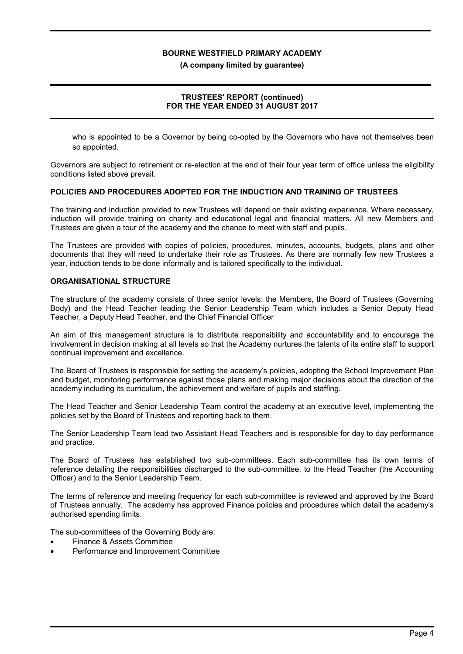(A company limited by guarantee)

### TRUSTEES' REPORT (continued) FOR THE YEAR ENDED 31 AUGUST 2017

who is appointed to be a Governor by being co-opted by the Governors who have not themselves been so appointed.

Governors are subject to retirement or re-election at the end of their four year term of office unless the eligibility conditions listed above prevail.

#### POLICIES AND PROCEDURES ADOPTED FOR THE INDUCTION AND TRAINING OF TRUSTEES

The training and induction provided to new Trustees will depend on their existing experience. Where necessary, induction will provide training on charity and educational legal and financial matters. All new Members and Trustees are given a tour of the academy and the chance to meet with staff and pupils.

The Trustees are provided with copies of policies, procedures, minutes, accounts, budgets, plans and other documents that they will need to undertake their role as Trustees. As there are normally few new Trustees a year, induction tends to be done informally and is tailored specifically to the individual.

#### ORGANISATIONAL STRUCTURE

The structure of the academy consists of three senior levels: the Members, the Board of Trustees (Governing Body) and the Head Teacher leading the Senior Leadership Team which includes a Senior Deputy Head Teacher, a Deputy Head Teacher, and the Chief Financial Officer

An aim of this management structure is to distribute responsibility and accountability and to encourage the involvement in decision making at all levels so that the Academy nurtures the talents of its entire staff to support continual improvement and excellence.

The Board of Trustees is responsible for setting the academy's policies, adopting the School Improvement Plan and budget, monitoring performance against those plans and making major decisions about the direction of the academy including its curriculum, the achievement and welfare of pupils and staffing.

The Head Teacher and Senior Leadership Team control the academy at an executive level, implementing the policies set by the Board of Trustees and reporting back to them.

The Senior Leadership Team lead two Assistant Head Teachers and is responsible for day to day performance and practice.

The Board of Trustees has established two sub-committees. Each sub-committee has its own terms of reference detailing the responsibilities discharged to the sub-committee, to the Head Teacher (the Accounting Officer) and to the Senior Leadership Team.

The terms of reference and meeting frequency for each sub-committee is reviewed and approved by the Board of Trustees annually. The academy has approved Finance policies and procedures which detail the academy's authorised spending limits.

The sub-committees of the Governing Body are:

- Finance & Assets Committee
- Performance and Improvement Committee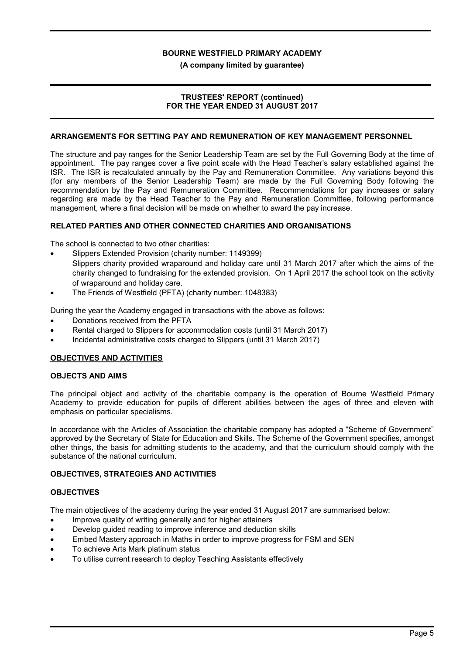#### (A company limited by guarantee)

#### TRUSTEES' REPORT (continued) FOR THE YEAR ENDED 31 AUGUST 2017

#### ARRANGEMENTS FOR SETTING PAY AND REMUNERATION OF KEY MANAGEMENT PERSONNEL

The structure and pay ranges for the Senior Leadership Team are set by the Full Governing Body at the time of appointment. The pay ranges cover a five point scale with the Head Teacher's salary established against the ISR. The ISR is recalculated annually by the Pay and Remuneration Committee. Any variations beyond this (for any members of the Senior Leadership Team) are made by the Full Governing Body following the recommendation by the Pay and Remuneration Committee. Recommendations for pay increases or salary regarding are made by the Head Teacher to the Pay and Remuneration Committee, following performance management, where a final decision will be made on whether to award the pay increase.

#### RELATED PARTIES AND OTHER CONNECTED CHARITIES AND ORGANISATIONS

The school is connected to two other charities:

- Slippers Extended Provision (charity number: 1149399) Slippers charity provided wraparound and holiday care until 31 March 2017 after which the aims of the charity changed to fundraising for the extended provision. On 1 April 2017 the school took on the activity of wraparound and holiday care.
- The Friends of Westfield (PFTA) (charity number: 1048383)

During the year the Academy engaged in transactions with the above as follows:

- Donations received from the PFTA
- Rental charged to Slippers for accommodation costs (until 31 March 2017)
- Incidental administrative costs charged to Slippers (until 31 March 2017)

#### OBJECTIVES AND ACTIVITIES

#### OBJECTS AND AIMS

The principal object and activity of the charitable company is the operation of Bourne Westfield Primary Academy to provide education for pupils of different abilities between the ages of three and eleven with emphasis on particular specialisms.

In accordance with the Articles of Association the charitable company has adopted a "Scheme of Government" approved by the Secretary of State for Education and Skills. The Scheme of the Government specifies, amongst other things, the basis for admitting students to the academy, and that the curriculum should comply with the substance of the national curriculum.

#### OBJECTIVES, STRATEGIES AND ACTIVITIES

#### **OBJECTIVES**

The main objectives of the academy during the year ended 31 August 2017 are summarised below:

- Improve quality of writing generally and for higher attainers
- Develop guided reading to improve inference and deduction skills
- Embed Mastery approach in Maths in order to improve progress for FSM and SEN
- To achieve Arts Mark platinum status
- To utilise current research to deploy Teaching Assistants effectively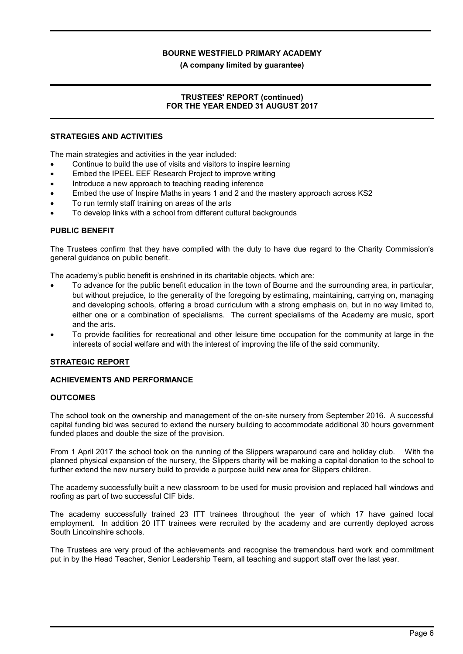(A company limited by guarantee)

### TRUSTEES' REPORT (continued) FOR THE YEAR ENDED 31 AUGUST 2017

#### STRATEGIES AND ACTIVITIES

The main strategies and activities in the year included:

- Continue to build the use of visits and visitors to inspire learning
- Embed the IPEEL EEF Research Project to improve writing
- Introduce a new approach to teaching reading inference
- Embed the use of Inspire Maths in years 1 and 2 and the mastery approach across KS2
- To run termly staff training on areas of the arts
- To develop links with a school from different cultural backgrounds

#### PUBLIC BENEFIT

The Trustees confirm that they have complied with the duty to have due regard to the Charity Commission's general guidance on public benefit.

The academy's public benefit is enshrined in its charitable objects, which are:

- To advance for the public benefit education in the town of Bourne and the surrounding area, in particular, but without prejudice, to the generality of the foregoing by estimating, maintaining, carrying on, managing and developing schools, offering a broad curriculum with a strong emphasis on, but in no way limited to, either one or a combination of specialisms. The current specialisms of the Academy are music, sport and the arts.
- To provide facilities for recreational and other leisure time occupation for the community at large in the interests of social welfare and with the interest of improving the life of the said community.

#### STRATEGIC REPORT

#### ACHIEVEMENTS AND PERFORMANCE

#### **OUTCOMES**

The school took on the ownership and management of the on-site nursery from September 2016. A successful capital funding bid was secured to extend the nursery building to accommodate additional 30 hours government funded places and double the size of the provision.

From 1 April 2017 the school took on the running of the Slippers wraparound care and holiday club. With the planned physical expansion of the nursery, the Slippers charity will be making a capital donation to the school to further extend the new nursery build to provide a purpose build new area for Slippers children.

The academy successfully built a new classroom to be used for music provision and replaced hall windows and roofing as part of two successful CIF bids.

The academy successfully trained 23 ITT trainees throughout the year of which 17 have gained local employment. In addition 20 ITT trainees were recruited by the academy and are currently deployed across South Lincolnshire schools.

The Trustees are very proud of the achievements and recognise the tremendous hard work and commitment put in by the Head Teacher, Senior Leadership Team, all teaching and support staff over the last year.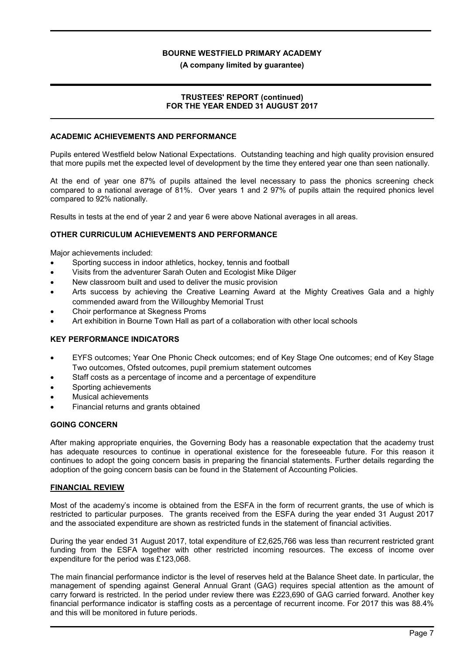#### (A company limited by guarantee)

#### TRUSTEES' REPORT (continued) FOR THE YEAR ENDED 31 AUGUST 2017

#### ACADEMIC ACHIEVEMENTS AND PERFORMANCE

Pupils entered Westfield below National Expectations. Outstanding teaching and high quality provision ensured that more pupils met the expected level of development by the time they entered year one than seen nationally.

At the end of year one 87% of pupils attained the level necessary to pass the phonics screening check compared to a national average of 81%. Over years 1 and 2 97% of pupils attain the required phonics level compared to 92% nationally.

Results in tests at the end of year 2 and year 6 were above National averages in all areas.

#### OTHER CURRICULUM ACHIEVEMENTS AND PERFORMANCE

Major achievements included:

- Sporting success in indoor athletics, hockey, tennis and football
- Visits from the adventurer Sarah Outen and Ecologist Mike Dilger
- New classroom built and used to deliver the music provision
- Arts success by achieving the Creative Learning Award at the Mighty Creatives Gala and a highly commended award from the Willoughby Memorial Trust
- Choir performance at Skegness Proms
- Art exhibition in Bourne Town Hall as part of a collaboration with other local schools

#### KEY PERFORMANCE INDICATORS

- EYFS outcomes; Year One Phonic Check outcomes; end of Key Stage One outcomes; end of Key Stage Two outcomes, Ofsted outcomes, pupil premium statement outcomes
- Staff costs as a percentage of income and a percentage of expenditure
- Sporting achievements
- Musical achievements
- Financial returns and grants obtained

#### GOING CONCERN

After making appropriate enquiries, the Governing Body has a reasonable expectation that the academy trust has adequate resources to continue in operational existence for the foreseeable future. For this reason it continues to adopt the going concern basis in preparing the financial statements. Further details regarding the adoption of the going concern basis can be found in the Statement of Accounting Policies.

#### FINANCIAL REVIEW

Most of the academy's income is obtained from the ESFA in the form of recurrent grants, the use of which is restricted to particular purposes. The grants received from the ESFA during the year ended 31 August 2017 and the associated expenditure are shown as restricted funds in the statement of financial activities.

During the year ended 31 August 2017, total expenditure of £2,625,766 was less than recurrent restricted grant funding from the ESFA together with other restricted incoming resources. The excess of income over expenditure for the period was £123,068.

The main financial performance indictor is the level of reserves held at the Balance Sheet date. In particular, the management of spending against General Annual Grant (GAG) requires special attention as the amount of carry forward is restricted. In the period under review there was £223,690 of GAG carried forward. Another key financial performance indicator is staffing costs as a percentage of recurrent income. For 2017 this was 88.4% and this will be monitored in future periods.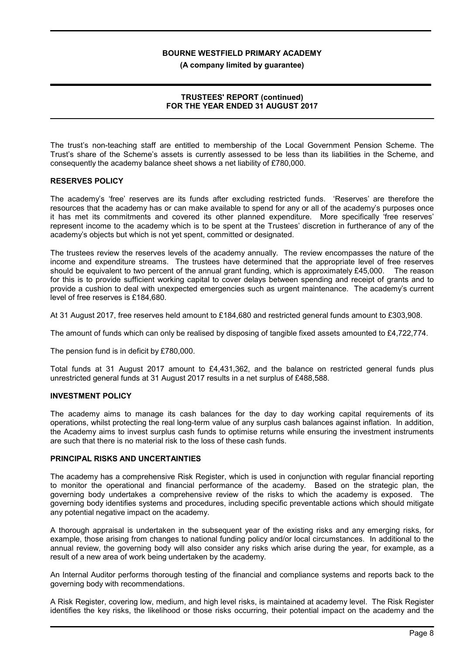(A company limited by guarantee)

#### TRUSTEES' REPORT (continued) FOR THE YEAR ENDED 31 AUGUST 2017

The trust's non-teaching staff are entitled to membership of the Local Government Pension Scheme. The Trust's share of the Scheme's assets is currently assessed to be less than its liabilities in the Scheme, and consequently the academy balance sheet shows a net liability of £780,000.

#### RESERVES POLICY

The academy's 'free' reserves are its funds after excluding restricted funds. 'Reserves' are therefore the resources that the academy has or can make available to spend for any or all of the academy's purposes once it has met its commitments and covered its other planned expenditure. More specifically 'free reserves' represent income to the academy which is to be spent at the Trustees' discretion in furtherance of any of the academy's objects but which is not yet spent, committed or designated.

The trustees review the reserves levels of the academy annually. The review encompasses the nature of the income and expenditure streams. The trustees have determined that the appropriate level of free reserves should be equivalent to two percent of the annual grant funding, which is approximately £45,000. The reason for this is to provide sufficient working capital to cover delays between spending and receipt of grants and to provide a cushion to deal with unexpected emergencies such as urgent maintenance. The academy's current level of free reserves is £184,680.

At 31 August 2017, free reserves held amount to £184,680 and restricted general funds amount to £303,908.

The amount of funds which can only be realised by disposing of tangible fixed assets amounted to £4,722,774.

The pension fund is in deficit by £780,000.

Total funds at 31 August 2017 amount to £4,431,362, and the balance on restricted general funds plus unrestricted general funds at 31 August 2017 results in a net surplus of £488,588.

### INVESTMENT POLICY

The academy aims to manage its cash balances for the day to day working capital requirements of its operations, whilst protecting the real long-term value of any surplus cash balances against inflation. In addition, the Academy aims to invest surplus cash funds to optimise returns while ensuring the investment instruments are such that there is no material risk to the loss of these cash funds.

#### PRINCIPAL RISKS AND UNCERTAINTIES

The academy has a comprehensive Risk Register, which is used in conjunction with regular financial reporting to monitor the operational and financial performance of the academy. Based on the strategic plan, the governing body undertakes a comprehensive review of the risks to which the academy is exposed. The governing body identifies systems and procedures, including specific preventable actions which should mitigate any potential negative impact on the academy.

A thorough appraisal is undertaken in the subsequent year of the existing risks and any emerging risks, for example, those arising from changes to national funding policy and/or local circumstances. In additional to the annual review, the governing body will also consider any risks which arise during the year, for example, as a result of a new area of work being undertaken by the academy.

An Internal Auditor performs thorough testing of the financial and compliance systems and reports back to the governing body with recommendations.

A Risk Register, covering low, medium, and high level risks, is maintained at academy level. The Risk Register identifies the key risks, the likelihood or those risks occurring, their potential impact on the academy and the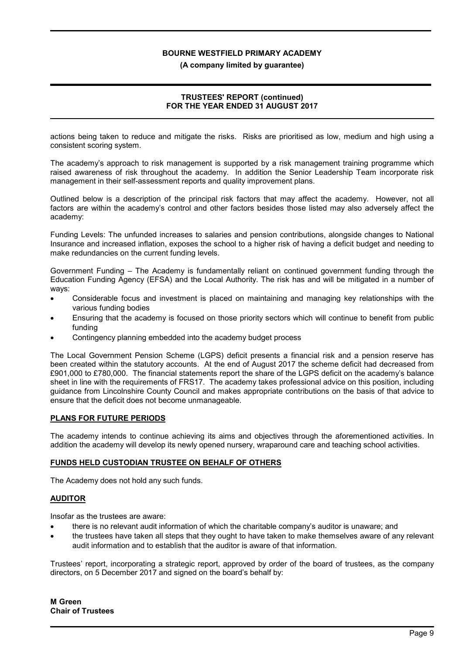(A company limited by guarantee)

### TRUSTEES' REPORT (continued) FOR THE YEAR ENDED 31 AUGUST 2017

actions being taken to reduce and mitigate the risks. Risks are prioritised as low, medium and high using a consistent scoring system.

The academy's approach to risk management is supported by a risk management training programme which raised awareness of risk throughout the academy. In addition the Senior Leadership Team incorporate risk management in their self-assessment reports and quality improvement plans.

Outlined below is a description of the principal risk factors that may affect the academy. However, not all factors are within the academy's control and other factors besides those listed may also adversely affect the academy:

Funding Levels: The unfunded increases to salaries and pension contributions, alongside changes to National Insurance and increased inflation, exposes the school to a higher risk of having a deficit budget and needing to make redundancies on the current funding levels.

Government Funding – The Academy is fundamentally reliant on continued government funding through the Education Funding Agency (EFSA) and the Local Authority. The risk has and will be mitigated in a number of ways:

- Considerable focus and investment is placed on maintaining and managing key relationships with the various funding bodies
- Ensuring that the academy is focused on those priority sectors which will continue to benefit from public funding
- Contingency planning embedded into the academy budget process

The Local Government Pension Scheme (LGPS) deficit presents a financial risk and a pension reserve has been created within the statutory accounts. At the end of August 2017 the scheme deficit had decreased from £901,000 to £780,000. The financial statements report the share of the LGPS deficit on the academy's balance sheet in line with the requirements of FRS17. The academy takes professional advice on this position, including guidance from Lincolnshire County Council and makes appropriate contributions on the basis of that advice to ensure that the deficit does not become unmanageable.

#### PLANS FOR FUTURE PERIODS

The academy intends to continue achieving its aims and objectives through the aforementioned activities. In addition the academy will develop its newly opened nursery, wraparound care and teaching school activities.

#### FUNDS HELD CUSTODIAN TRUSTEE ON BEHALF OF OTHERS

The Academy does not hold any such funds.

#### AUDITOR

Insofar as the trustees are aware:

- there is no relevant audit information of which the charitable company's auditor is unaware; and
- the trustees have taken all steps that they ought to have taken to make themselves aware of any relevant audit information and to establish that the auditor is aware of that information.

Trustees' report, incorporating a strategic report, approved by order of the board of trustees, as the company directors, on 5 December 2017 and signed on the board's behalf by: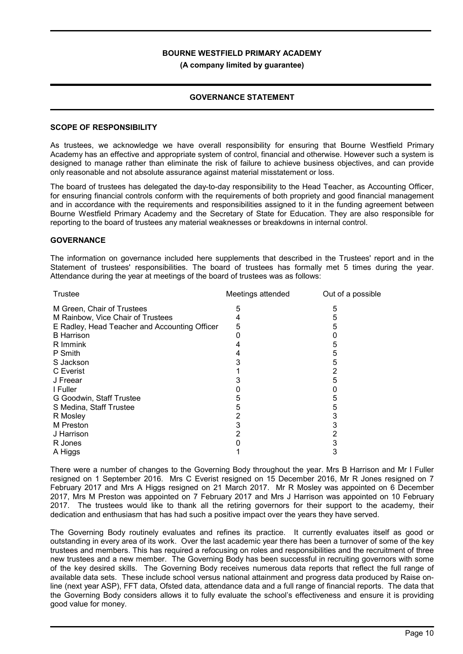(A company limited by guarantee)

### GOVERNANCE STATEMENT

#### SCOPE OF RESPONSIBILITY

As trustees, we acknowledge we have overall responsibility for ensuring that Bourne Westfield Primary Academy has an effective and appropriate system of control, financial and otherwise. However such a system is designed to manage rather than eliminate the risk of failure to achieve business objectives, and can provide only reasonable and not absolute assurance against material misstatement or loss.

The board of trustees has delegated the day-to-day responsibility to the Head Teacher, as Accounting Officer, for ensuring financial controls conform with the requirements of both propriety and good financial management and in accordance with the requirements and responsibilities assigned to it in the funding agreement between Bourne Westfield Primary Academy and the Secretary of State for Education. They are also responsible for reporting to the board of trustees any material weaknesses or breakdowns in internal control.

#### **GOVERNANCE**

The information on governance included here supplements that described in the Trustees' report and in the Statement of trustees' responsibilities. The board of trustees has formally met 5 times during the year. Attendance during the year at meetings of the board of trustees was as follows:

| <b>Trustee</b>                                | Meetings attended | Out of a possible |
|-----------------------------------------------|-------------------|-------------------|
| M Green, Chair of Trustees                    | 5                 | 5                 |
| M Rainbow, Vice Chair of Trustees             | 4                 | 5                 |
| E Radley, Head Teacher and Accounting Officer | 5                 | 5                 |
| <b>B</b> Harrison                             |                   |                   |
| R Immink                                      |                   | 5                 |
| P Smith                                       |                   | 5                 |
| S Jackson                                     |                   | 5                 |
| C Everist                                     |                   | 2                 |
| J Freear                                      |                   | 5                 |
| I Fuller                                      |                   |                   |
| G Goodwin, Staff Trustee                      | 5                 | 5                 |
| S Medina, Staff Trustee                       | 5                 | 5                 |
| R Mosley                                      | 2                 | 3                 |
| M Preston                                     | 3                 |                   |
| J Harrison                                    |                   | 2                 |
| R Jones                                       |                   | 3                 |
| A Higgs                                       |                   | 3                 |

There were a number of changes to the Governing Body throughout the year. Mrs B Harrison and Mr I Fuller resigned on 1 September 2016. Mrs C Everist resigned on 15 December 2016, Mr R Jones resigned on 7 February 2017 and Mrs A Higgs resigned on 21 March 2017. Mr R Mosley was appointed on 6 December 2017, Mrs M Preston was appointed on 7 February 2017 and Mrs J Harrison was appointed on 10 February 2017. The trustees would like to thank all the retiring governors for their support to the academy, their dedication and enthusiasm that has had such a positive impact over the years they have served.

The Governing Body routinely evaluates and refines its practice. It currently evaluates itself as good or outstanding in every area of its work. Over the last academic year there has been a turnover of some of the key trustees and members. This has required a refocusing on roles and responsibilities and the recruitment of three new trustees and a new member. The Governing Body has been successful in recruiting governors with some of the key desired skills. The Governing Body receives numerous data reports that reflect the full range of available data sets. These include school versus national attainment and progress data produced by Raise online (next year ASP), FFT data, Ofsted data, attendance data and a full range of financial reports. The data that the Governing Body considers allows it to fully evaluate the school's effectiveness and ensure it is providing good value for money.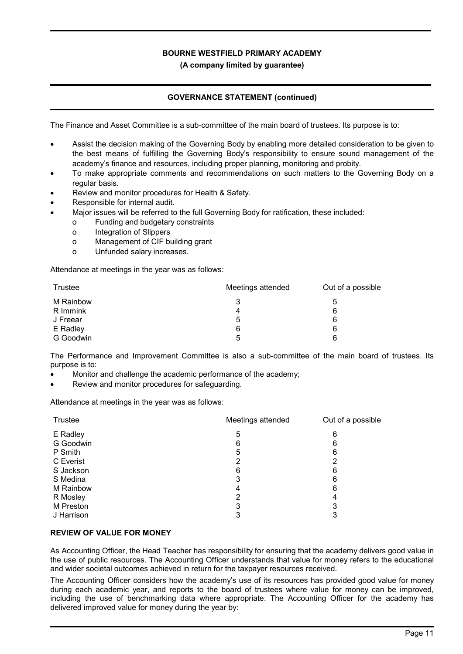### (A company limited by guarantee)

# GOVERNANCE STATEMENT (continued)

The Finance and Asset Committee is a sub-committee of the main board of trustees. Its purpose is to:

- Assist the decision making of the Governing Body by enabling more detailed consideration to be given to the best means of fulfilling the Governing Body's responsibility to ensure sound management of the academy's finance and resources, including proper planning, monitoring and probity.
- To make appropriate comments and recommendations on such matters to the Governing Body on a regular basis.
- Review and monitor procedures for Health & Safety.
- Responsible for internal audit.
- Major issues will be referred to the full Governing Body for ratification, these included:
	- o Funding and budgetary constraints
	- o Integration of Slippers
	- o Management of CIF building grant
	- o Unfunded salary increases.

Attendance at meetings in the year was as follows:

| Trustee   | Meetings attended | Out of a possible |
|-----------|-------------------|-------------------|
| M Rainbow | 3                 | 5                 |
| R Immink  | 4                 | 6                 |
| J Freear  | 5                 | 6                 |
| E Radley  | 6                 | 6                 |
| G Goodwin | 5                 | 6                 |

The Performance and Improvement Committee is also a sub-committee of the main board of trustees. Its purpose is to:

- Monitor and challenge the academic performance of the academy;
- Review and monitor procedures for safeguarding.

Attendance at meetings in the year was as follows:

| Trustee    | Meetings attended | Out of a possible |
|------------|-------------------|-------------------|
| E Radley   | 5                 | 6                 |
| G Goodwin  | 6                 | 6                 |
| P Smith    | 5                 | 6                 |
| C Everist  | 2                 | 2                 |
| S Jackson  | 6                 | 6                 |
| S Medina   | 3                 | 6                 |
| M Rainbow  | 4                 | 6                 |
| R Mosley   | 2                 | 4                 |
| M Preston  | 3                 | 3                 |
| J Harrison | 3                 | 3                 |

#### REVIEW OF VALUE FOR MONEY

As Accounting Officer, the Head Teacher has responsibility for ensuring that the academy delivers good value in the use of public resources. The Accounting Officer understands that value for money refers to the educational and wider societal outcomes achieved in return for the taxpayer resources received.

The Accounting Officer considers how the academy's use of its resources has provided good value for money during each academic year, and reports to the board of trustees where value for money can be improved, including the use of benchmarking data where appropriate. The Accounting Officer for the academy has delivered improved value for money during the year by: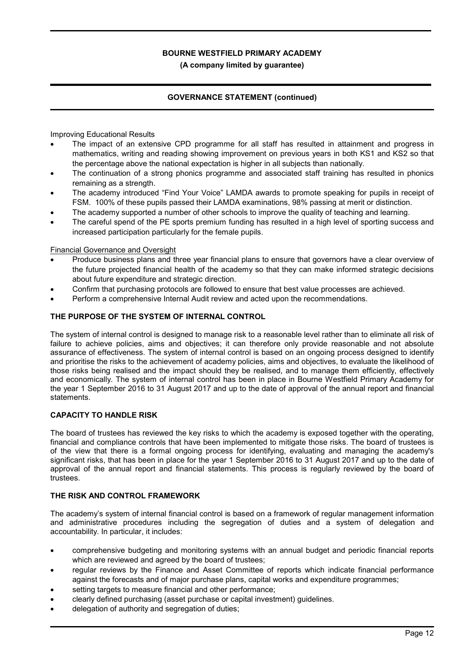(A company limited by guarantee)

# GOVERNANCE STATEMENT (continued)

Improving Educational Results

- The impact of an extensive CPD programme for all staff has resulted in attainment and progress in mathematics, writing and reading showing improvement on previous years in both KS1 and KS2 so that the percentage above the national expectation is higher in all subjects than nationally.
- The continuation of a strong phonics programme and associated staff training has resulted in phonics remaining as a strength.
- The academy introduced "Find Your Voice" LAMDA awards to promote speaking for pupils in receipt of FSM. 100% of these pupils passed their LAMDA examinations, 98% passing at merit or distinction.
- The academy supported a number of other schools to improve the quality of teaching and learning.
- The careful spend of the PE sports premium funding has resulted in a high level of sporting success and increased participation particularly for the female pupils.

Financial Governance and Oversight

- Produce business plans and three year financial plans to ensure that governors have a clear overview of the future projected financial health of the academy so that they can make informed strategic decisions about future expenditure and strategic direction.
- Confirm that purchasing protocols are followed to ensure that best value processes are achieved.
- Perform a comprehensive Internal Audit review and acted upon the recommendations.

#### THE PURPOSE OF THE SYSTEM OF INTERNAL CONTROL

The system of internal control is designed to manage risk to a reasonable level rather than to eliminate all risk of failure to achieve policies, aims and objectives; it can therefore only provide reasonable and not absolute assurance of effectiveness. The system of internal control is based on an ongoing process designed to identify and prioritise the risks to the achievement of academy policies, aims and objectives, to evaluate the likelihood of those risks being realised and the impact should they be realised, and to manage them efficiently, effectively and economically. The system of internal control has been in place in Bourne Westfield Primary Academy for the year 1 September 2016 to 31 August 2017 and up to the date of approval of the annual report and financial statements.

#### CAPACITY TO HANDLE RISK

The board of trustees has reviewed the key risks to which the academy is exposed together with the operating, financial and compliance controls that have been implemented to mitigate those risks. The board of trustees is of the view that there is a formal ongoing process for identifying, evaluating and managing the academy's significant risks, that has been in place for the year 1 September 2016 to 31 August 2017 and up to the date of approval of the annual report and financial statements. This process is regularly reviewed by the board of trustees.

#### THE RISK AND CONTROL FRAMEWORK

The academy's system of internal financial control is based on a framework of regular management information and administrative procedures including the segregation of duties and a system of delegation and accountability. In particular, it includes:

- comprehensive budgeting and monitoring systems with an annual budget and periodic financial reports which are reviewed and agreed by the board of trustees;
- regular reviews by the Finance and Asset Committee of reports which indicate financial performance against the forecasts and of major purchase plans, capital works and expenditure programmes;
- setting targets to measure financial and other performance;
- clearly defined purchasing (asset purchase or capital investment) guidelines.
- delegation of authority and segregation of duties;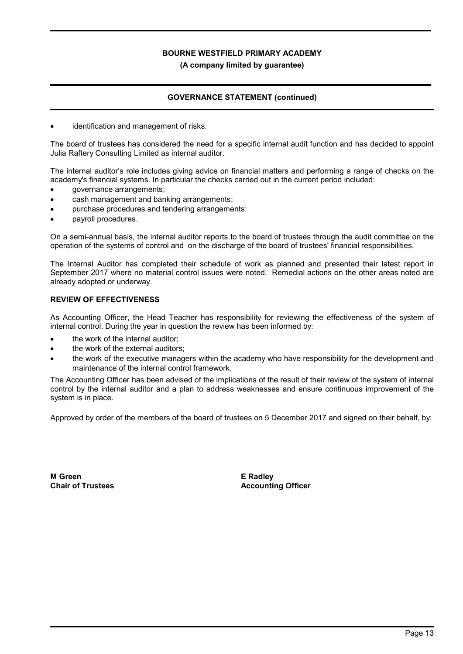(A company limited by guarantee)

# GOVERNANCE STATEMENT (continued)

identification and management of risks.

The board of trustees has considered the need for a specific internal audit function and has decided to appoint Julia Raftery Consulting Limited as internal auditor.

The internal auditor's role includes giving advice on financial matters and performing a range of checks on the academy's financial systems. In particular the checks carried out in the current period included:

- governance arrangements;
- cash management and banking arrangements;
- purchase procedures and tendering arrangements:
- payroll procedures.

On a semi-annual basis, the internal auditor reports to the board of trustees through the audit committee on the operation of the systems of control and on the discharge of the board of trustees' financial responsibilities.

The Internal Auditor has completed their schedule of work as planned and presented their latest report in September 2017 where no material control issues were noted. Remedial actions on the other areas noted are already adopted or underway.

#### REVIEW OF EFFECTIVENESS

As Accounting Officer, the Head Teacher has responsibility for reviewing the effectiveness of the system of internal control. During the year in question the review has been informed by:

- the work of the internal auditor;
- the work of the external auditors;
- the work of the executive managers within the academy who have responsibility for the development and maintenance of the internal control framework.

The Accounting Officer has been advised of the implications of the result of their review of the system of internal control by the internal auditor and a plan to address weaknesses and ensure continuous improvement of the system is in place.

Approved by order of the members of the board of trustees on 5 December 2017 and signed on their behalf, by:

M Green Chair of Trustees E Radley Accounting Officer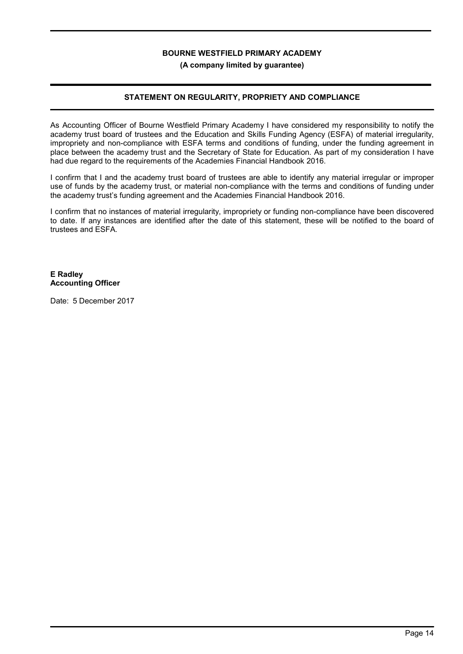#### (A company limited by guarantee)

### STATEMENT ON REGULARITY, PROPRIETY AND COMPLIANCE

As Accounting Officer of Bourne Westfield Primary Academy I have considered my responsibility to notify the academy trust board of trustees and the Education and Skills Funding Agency (ESFA) of material irregularity, impropriety and non-compliance with ESFA terms and conditions of funding, under the funding agreement in place between the academy trust and the Secretary of State for Education. As part of my consideration I have had due regard to the requirements of the Academies Financial Handbook 2016.

I confirm that I and the academy trust board of trustees are able to identify any material irregular or improper use of funds by the academy trust, or material non-compliance with the terms and conditions of funding under the academy trust's funding agreement and the Academies Financial Handbook 2016.

I confirm that no instances of material irregularity, impropriety or funding non-compliance have been discovered to date. If any instances are identified after the date of this statement, these will be notified to the board of trustees and ESFA.

#### E Radley Accounting Officer

Date: 5 December 2017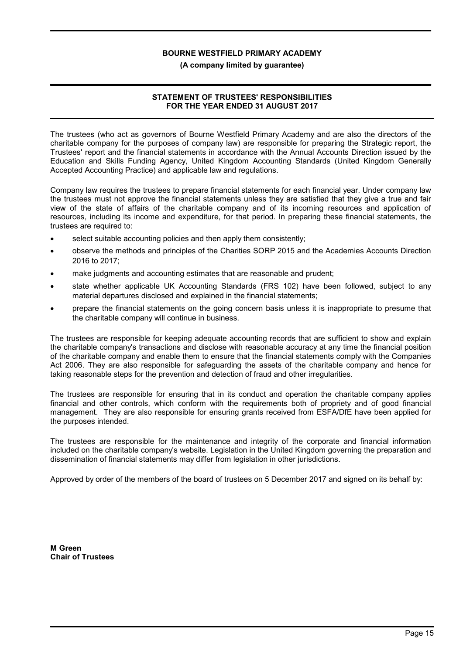#### (A company limited by guarantee)

### STATEMENT OF TRUSTEES' RESPONSIBILITIES FOR THE YEAR ENDED 31 AUGUST 2017

The trustees (who act as governors of Bourne Westfield Primary Academy and are also the directors of the charitable company for the purposes of company law) are responsible for preparing the Strategic report, the Trustees' report and the financial statements in accordance with the Annual Accounts Direction issued by the Education and Skills Funding Agency, United Kingdom Accounting Standards (United Kingdom Generally Accepted Accounting Practice) and applicable law and regulations.

Company law requires the trustees to prepare financial statements for each financial year. Under company law the trustees must not approve the financial statements unless they are satisfied that they give a true and fair view of the state of affairs of the charitable company and of its incoming resources and application of resources, including its income and expenditure, for that period. In preparing these financial statements, the trustees are required to:

- select suitable accounting policies and then apply them consistently;
- observe the methods and principles of the Charities SORP 2015 and the Academies Accounts Direction 2016 to 2017;
- make judgments and accounting estimates that are reasonable and prudent;
- state whether applicable UK Accounting Standards (FRS 102) have been followed, subject to any material departures disclosed and explained in the financial statements;
- prepare the financial statements on the going concern basis unless it is inappropriate to presume that the charitable company will continue in business.

The trustees are responsible for keeping adequate accounting records that are sufficient to show and explain the charitable company's transactions and disclose with reasonable accuracy at any time the financial position of the charitable company and enable them to ensure that the financial statements comply with the Companies Act 2006. They are also responsible for safeguarding the assets of the charitable company and hence for taking reasonable steps for the prevention and detection of fraud and other irregularities.

The trustees are responsible for ensuring that in its conduct and operation the charitable company applies financial and other controls, which conform with the requirements both of propriety and of good financial management. They are also responsible for ensuring grants received from ESFA/DfE have been applied for the purposes intended.

The trustees are responsible for the maintenance and integrity of the corporate and financial information included on the charitable company's website. Legislation in the United Kingdom governing the preparation and dissemination of financial statements may differ from legislation in other jurisdictions.

Approved by order of the members of the board of trustees on 5 December 2017 and signed on its behalf by:

M Green Chair of Trustees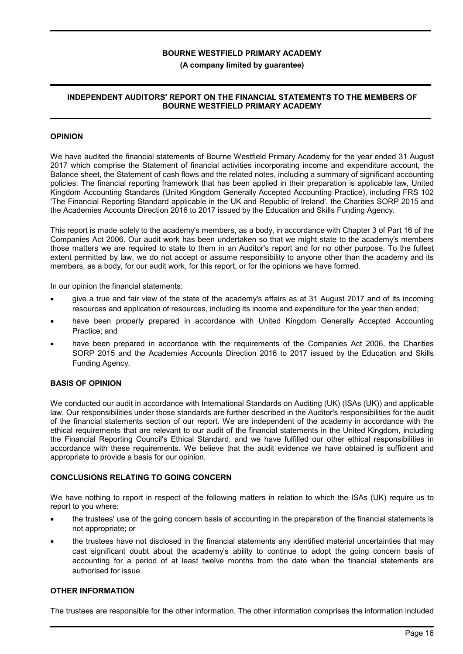#### (A company limited by guarantee)

#### INDEPENDENT AUDITORS' REPORT ON THE FINANCIAL STATEMENTS TO THE MEMBERS OF BOURNE WESTFIELD PRIMARY ACADEMY

#### OPINION

We have audited the financial statements of Bourne Westfield Primary Academy for the year ended 31 August 2017 which comprise the Statement of financial activities incorporating income and expenditure account, the Balance sheet, the Statement of cash flows and the related notes, including a summary of significant accounting policies. The financial reporting framework that has been applied in their preparation is applicable law, United Kingdom Accounting Standards (United Kingdom Generally Accepted Accounting Practice), including FRS 102 'The Financial Reporting Standard applicable in the UK and Republic of Ireland', the Charities SORP 2015 and the Academies Accounts Direction 2016 to 2017 issued by the Education and Skills Funding Agency.

This report is made solely to the academy's members, as a body, in accordance with Chapter 3 of Part 16 of the Companies Act 2006. Our audit work has been undertaken so that we might state to the academy's members those matters we are required to state to them in an Auditor's report and for no other purpose. To the fullest extent permitted by law, we do not accept or assume responsibility to anyone other than the academy and its members, as a body, for our audit work, for this report, or for the opinions we have formed.

In our opinion the financial statements:

- give a true and fair view of the state of the academy's affairs as at 31 August 2017 and of its incoming resources and application of resources, including its income and expenditure for the year then ended;
- have been properly prepared in accordance with United Kingdom Generally Accepted Accounting Practice; and
- have been prepared in accordance with the requirements of the Companies Act 2006, the Charities SORP 2015 and the Academies Accounts Direction 2016 to 2017 issued by the Education and Skills Funding Agency.

#### BASIS OF OPINION

We conducted our audit in accordance with International Standards on Auditing (UK) (ISAs (UK)) and applicable law. Our responsibilities under those standards are further described in the Auditor's responsibilities for the audit of the financial statements section of our report. We are independent of the academy in accordance with the ethical requirements that are relevant to our audit of the financial statements in the United Kingdom, including the Financial Reporting Council's Ethical Standard, and we have fulfilled our other ethical responsibilities in accordance with these requirements. We believe that the audit evidence we have obtained is sufficient and appropriate to provide a basis for our opinion.

#### CONCLUSIONS RELATING TO GOING CONCERN

We have nothing to report in respect of the following matters in relation to which the ISAs (UK) require us to report to you where:

- the trustees' use of the going concern basis of accounting in the preparation of the financial statements is not appropriate; or
- the trustees have not disclosed in the financial statements any identified material uncertainties that may cast significant doubt about the academy's ability to continue to adopt the going concern basis of accounting for a period of at least twelve months from the date when the financial statements are authorised for issue.

#### OTHER INFORMATION

The trustees are responsible for the other information. The other information comprises the information included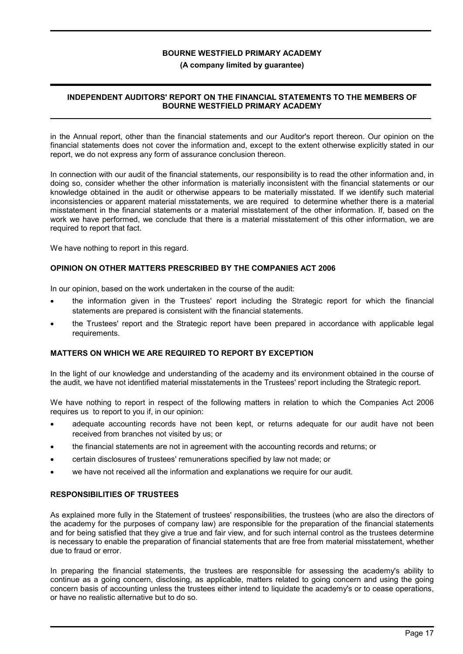#### (A company limited by guarantee)

### INDEPENDENT AUDITORS' REPORT ON THE FINANCIAL STATEMENTS TO THE MEMBERS OF BOURNE WESTFIELD PRIMARY ACADEMY

in the Annual report, other than the financial statements and our Auditor's report thereon. Our opinion on the financial statements does not cover the information and, except to the extent otherwise explicitly stated in our report, we do not express any form of assurance conclusion thereon.

In connection with our audit of the financial statements, our responsibility is to read the other information and, in doing so, consider whether the other information is materially inconsistent with the financial statements or our knowledge obtained in the audit or otherwise appears to be materially misstated. If we identify such material inconsistencies or apparent material misstatements, we are required to determine whether there is a material misstatement in the financial statements or a material misstatement of the other information. If, based on the work we have performed, we conclude that there is a material misstatement of this other information, we are required to report that fact.

We have nothing to report in this regard.

#### OPINION ON OTHER MATTERS PRESCRIBED BY THE COMPANIES ACT 2006

In our opinion, based on the work undertaken in the course of the audit:

- the information given in the Trustees' report including the Strategic report for which the financial statements are prepared is consistent with the financial statements.
- the Trustees' report and the Strategic report have been prepared in accordance with applicable legal requirements.

#### MATTERS ON WHICH WE ARE REQUIRED TO REPORT BY EXCEPTION

In the light of our knowledge and understanding of the academy and its environment obtained in the course of the audit, we have not identified material misstatements in the Trustees' report including the Strategic report.

We have nothing to report in respect of the following matters in relation to which the Companies Act 2006 requires us to report to you if, in our opinion:

- adequate accounting records have not been kept, or returns adequate for our audit have not been received from branches not visited by us; or
- the financial statements are not in agreement with the accounting records and returns; or
- certain disclosures of trustees' remunerations specified by law not made; or
- we have not received all the information and explanations we require for our audit.

#### RESPONSIBILITIES OF TRUSTEES

As explained more fully in the Statement of trustees' responsibilities, the trustees (who are also the directors of the academy for the purposes of company law) are responsible for the preparation of the financial statements and for being satisfied that they give a true and fair view, and for such internal control as the trustees determine is necessary to enable the preparation of financial statements that are free from material misstatement, whether due to fraud or error.

In preparing the financial statements, the trustees are responsible for assessing the academy's ability to continue as a going concern, disclosing, as applicable, matters related to going concern and using the going concern basis of accounting unless the trustees either intend to liquidate the academy's or to cease operations, or have no realistic alternative but to do so.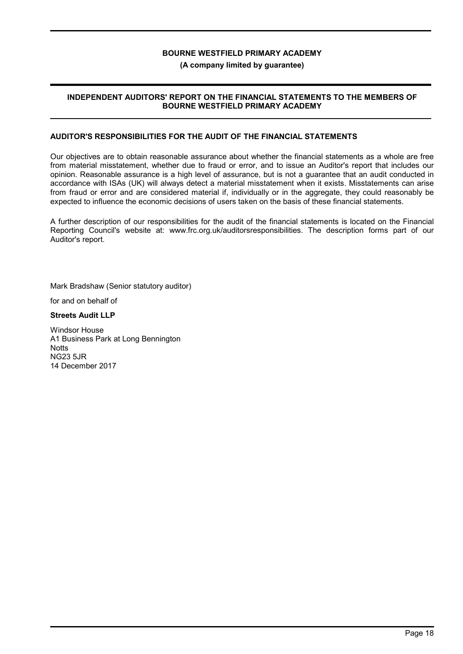#### (A company limited by guarantee)

#### INDEPENDENT AUDITORS' REPORT ON THE FINANCIAL STATEMENTS TO THE MEMBERS OF BOURNE WESTFIELD PRIMARY ACADEMY

#### AUDITOR'S RESPONSIBILITIES FOR THE AUDIT OF THE FINANCIAL STATEMENTS

Our objectives are to obtain reasonable assurance about whether the financial statements as a whole are free from material misstatement, whether due to fraud or error, and to issue an Auditor's report that includes our opinion. Reasonable assurance is a high level of assurance, but is not a guarantee that an audit conducted in accordance with ISAs (UK) will always detect a material misstatement when it exists. Misstatements can arise from fraud or error and are considered material if, individually or in the aggregate, they could reasonably be expected to influence the economic decisions of users taken on the basis of these financial statements.

A further description of our responsibilities for the audit of the financial statements is located on the Financial Reporting Council's website at: www.frc.org.uk/auditorsresponsibilities. The description forms part of our Auditor's report.

Mark Bradshaw (Senior statutory auditor)

for and on behalf of

Streets Audit LLP

Windsor House A1 Business Park at Long Bennington **Notts** NG23 5JR 14 December 2017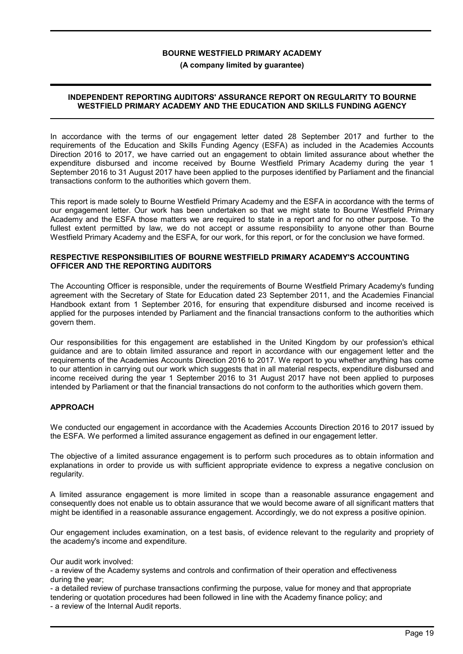#### (A company limited by guarantee)

#### INDEPENDENT REPORTING AUDITORS' ASSURANCE REPORT ON REGULARITY TO BOURNE WESTFIELD PRIMARY ACADEMY AND THE EDUCATION AND SKILLS FUNDING AGENCY

In accordance with the terms of our engagement letter dated 28 September 2017 and further to the requirements of the Education and Skills Funding Agency (ESFA) as included in the Academies Accounts Direction 2016 to 2017, we have carried out an engagement to obtain limited assurance about whether the expenditure disbursed and income received by Bourne Westfield Primary Academy during the year 1 September 2016 to 31 August 2017 have been applied to the purposes identified by Parliament and the financial transactions conform to the authorities which govern them.

This report is made solely to Bourne Westfield Primary Academy and the ESFA in accordance with the terms of our engagement letter. Our work has been undertaken so that we might state to Bourne Westfield Primary Academy and the ESFA those matters we are required to state in a report and for no other purpose. To the fullest extent permitted by law, we do not accept or assume responsibility to anyone other than Bourne Westfield Primary Academy and the ESFA, for our work, for this report, or for the conclusion we have formed.

#### RESPECTIVE RESPONSIBILITIES OF BOURNE WESTFIELD PRIMARY ACADEMY'S ACCOUNTING OFFICER AND THE REPORTING AUDITORS

The Accounting Officer is responsible, under the requirements of Bourne Westfield Primary Academy's funding agreement with the Secretary of State for Education dated 23 September 2011, and the Academies Financial Handbook extant from 1 September 2016, for ensuring that expenditure disbursed and income received is applied for the purposes intended by Parliament and the financial transactions conform to the authorities which govern them.

Our responsibilities for this engagement are established in the United Kingdom by our profession's ethical guidance and are to obtain limited assurance and report in accordance with our engagement letter and the requirements of the Academies Accounts Direction 2016 to 2017. We report to you whether anything has come to our attention in carrying out our work which suggests that in all material respects, expenditure disbursed and income received during the year 1 September 2016 to 31 August 2017 have not been applied to purposes intended by Parliament or that the financial transactions do not conform to the authorities which govern them.

#### APPROACH

We conducted our engagement in accordance with the Academies Accounts Direction 2016 to 2017 issued by the ESFA. We performed a limited assurance engagement as defined in our engagement letter.

The objective of a limited assurance engagement is to perform such procedures as to obtain information and explanations in order to provide us with sufficient appropriate evidence to express a negative conclusion on regularity.

A limited assurance engagement is more limited in scope than a reasonable assurance engagement and consequently does not enable us to obtain assurance that we would become aware of all significant matters that might be identified in a reasonable assurance engagement. Accordingly, we do not express a positive opinion.

Our engagement includes examination, on a test basis, of evidence relevant to the regularity and propriety of the academy's income and expenditure.

Our audit work involved:

- a review of the Academy systems and controls and confirmation of their operation and effectiveness during the year;

- a detailed review of purchase transactions confirming the purpose, value for money and that appropriate tendering or quotation procedures had been followed in line with the Academy finance policy; and - a review of the Internal Audit reports.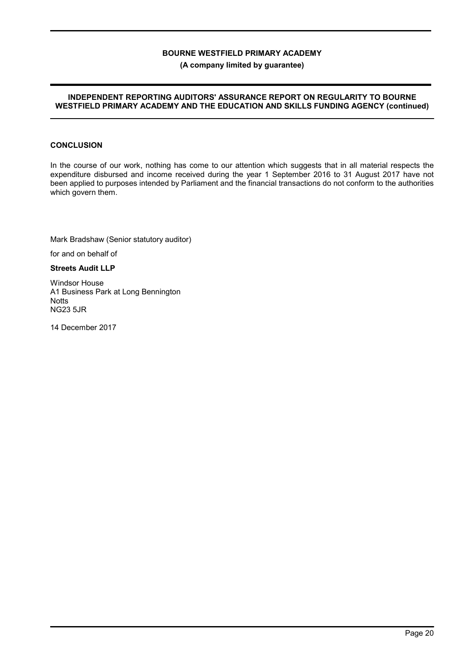#### (A company limited by guarantee)

#### INDEPENDENT REPORTING AUDITORS' ASSURANCE REPORT ON REGULARITY TO BOURNE WESTFIELD PRIMARY ACADEMY AND THE EDUCATION AND SKILLS FUNDING AGENCY (continued)

### **CONCLUSION**

In the course of our work, nothing has come to our attention which suggests that in all material respects the expenditure disbursed and income received during the year 1 September 2016 to 31 August 2017 have not been applied to purposes intended by Parliament and the financial transactions do not conform to the authorities which govern them.

Mark Bradshaw (Senior statutory auditor)

for and on behalf of

Streets Audit LLP

Windsor House A1 Business Park at Long Bennington **Notts** NG23 5JR

14 December 2017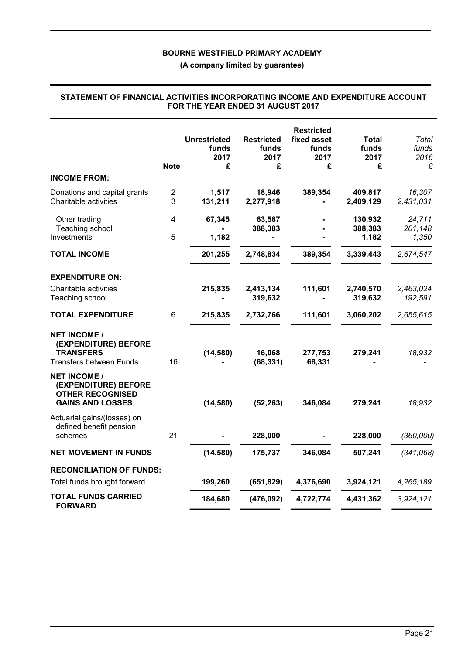(A company limited by guarantee)

|                                                                                                   | <b>Note</b>           | <b>Unrestricted</b><br>funds<br>2017<br>£ | <b>Restricted</b><br>funds<br>2017<br>£ | <b>Restricted</b><br>fixed asset<br>funds<br>2017<br>£ | Total<br>funds<br>2017<br>£ | Total<br>funds<br>2016<br>£ |
|---------------------------------------------------------------------------------------------------|-----------------------|-------------------------------------------|-----------------------------------------|--------------------------------------------------------|-----------------------------|-----------------------------|
| <b>INCOME FROM:</b>                                                                               |                       |                                           |                                         |                                                        |                             |                             |
| Donations and capital grants<br>Charitable activities                                             | $\boldsymbol{2}$<br>3 | 1,517<br>131,211                          | 18,946<br>2,277,918                     | 389,354                                                | 409,817<br>2,409,129        | 16,307<br>2,431,031         |
| Other trading<br>Teaching school<br>Investments                                                   | 4<br>5                | 67,345<br>1,182                           | 63,587<br>388,383                       |                                                        | 130,932<br>388,383<br>1,182 | 24,711<br>201,148<br>1,350  |
| <b>TOTAL INCOME</b>                                                                               |                       | 201,255                                   | 2,748,834                               | 389,354                                                | 3,339,443                   | 2,674,547                   |
| <b>EXPENDITURE ON:</b>                                                                            |                       |                                           |                                         |                                                        |                             |                             |
| Charitable activities<br>Teaching school                                                          |                       | 215,835                                   | 2,413,134<br>319,632                    | 111,601                                                | 2,740,570<br>319,632        | 2,463,024<br>192,591        |
| <b>TOTAL EXPENDITURE</b>                                                                          | $\,6$                 | 215,835                                   | 2,732,766                               | 111,601                                                | 3,060,202                   | 2,655,615                   |
| <b>NET INCOME /</b><br>(EXPENDITURE) BEFORE<br><b>TRANSFERS</b><br><b>Transfers between Funds</b> | 16                    | (14, 580)                                 | 16,068<br>(68, 331)                     | 277,753<br>68,331                                      | 279,241                     | 18,932                      |
| <b>NET INCOME /</b><br>(EXPENDITURE) BEFORE<br><b>OTHER RECOGNISED</b><br><b>GAINS AND LOSSES</b> |                       | (14, 580)                                 | (52, 263)                               | 346,084                                                | 279,241                     | 18,932                      |
| Actuarial gains/(losses) on<br>defined benefit pension<br>schemes                                 | 21                    |                                           | 228,000                                 |                                                        | 228,000                     | (360,000)                   |
| <b>NET MOVEMENT IN FUNDS</b>                                                                      |                       | (14, 580)                                 | 175,737                                 | 346,084                                                | 507,241                     | (341,068)                   |
| <b>RECONCILIATION OF FUNDS:</b>                                                                   |                       |                                           |                                         |                                                        |                             |                             |
| Total funds brought forward                                                                       |                       | 199,260                                   | (651, 829)                              | 4,376,690                                              | 3,924,121                   | 4,265,189                   |
| <b>TOTAL FUNDS CARRIED</b><br><b>FORWARD</b>                                                      |                       | 184,680                                   | (476, 092)                              | 4,722,774                                              | 4,431,362                   | 3,924,121                   |

#### STATEMENT OF FINANCIAL ACTIVITIES INCORPORATING INCOME AND EXPENDITURE ACCOUNT FOR THE YEAR ENDED 31 AUGUST 2017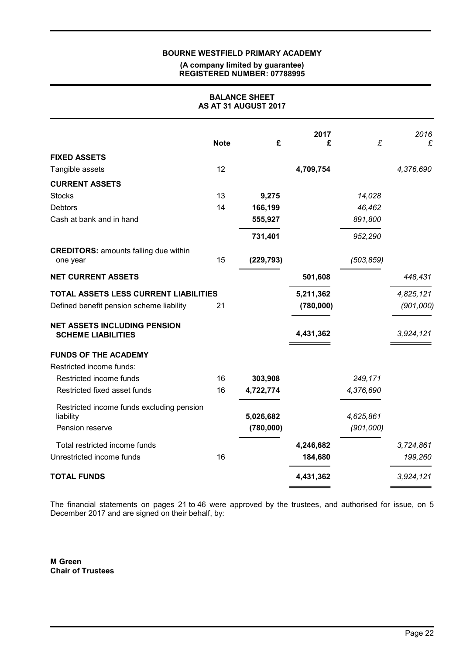#### (A company limited by guarantee) REGISTERED NUMBER: 07788995

| <b>BALANCE SHEET</b><br>AS AT 31 AUGUST 2017                                      |             |            |                        |            |                        |
|-----------------------------------------------------------------------------------|-------------|------------|------------------------|------------|------------------------|
|                                                                                   | <b>Note</b> | £          | 2017<br>£              | £          | 2016<br>£              |
| <b>FIXED ASSETS</b>                                                               |             |            |                        |            |                        |
| Tangible assets                                                                   | 12          |            | 4,709,754              |            | 4,376,690              |
| <b>CURRENT ASSETS</b>                                                             |             |            |                        |            |                        |
| <b>Stocks</b>                                                                     | 13          | 9,275      |                        | 14,028     |                        |
| <b>Debtors</b>                                                                    | 14          | 166,199    |                        | 46,462     |                        |
| Cash at bank and in hand                                                          |             | 555,927    |                        | 891,800    |                        |
|                                                                                   |             | 731,401    |                        | 952,290    |                        |
| <b>CREDITORS: amounts falling due within</b><br>one year                          | 15          | (229, 793) |                        | (503, 859) |                        |
| <b>NET CURRENT ASSETS</b>                                                         |             |            | 501,608                |            | 448,431                |
| TOTAL ASSETS LESS CURRENT LIABILITIES<br>Defined benefit pension scheme liability | 21          |            | 5,211,362<br>(780,000) |            | 4,825,121<br>(901,000) |
| <b>NET ASSETS INCLUDING PENSION</b><br><b>SCHEME LIABILITIES</b>                  |             |            | 4,431,362              |            | 3,924,121              |
| <b>FUNDS OF THE ACADEMY</b>                                                       |             |            |                        |            |                        |
| Restricted income funds:                                                          |             |            |                        |            |                        |
| Restricted income funds                                                           | 16          | 303,908    |                        | 249,171    |                        |
| Restricted fixed asset funds                                                      | 16          | 4,722,774  |                        | 4,376,690  |                        |
| Restricted income funds excluding pension                                         |             |            |                        |            |                        |
| liability                                                                         |             | 5,026,682  |                        | 4,625,861  |                        |
| Pension reserve                                                                   |             | (780,000)  |                        | (901,000)  |                        |
| Total restricted income funds                                                     |             |            | 4,246,682              |            | 3,724,861              |
| Unrestricted income funds                                                         | 16          |            | 184,680                |            | 199,260                |
| <b>TOTAL FUNDS</b>                                                                |             |            | 4,431,362              |            | 3,924,121              |

The financial statements on pages 21 to 46 were approved by the trustees, and authorised for issue, on 5 December 2017 and are signed on their behalf, by:

M Green Chair of Trustees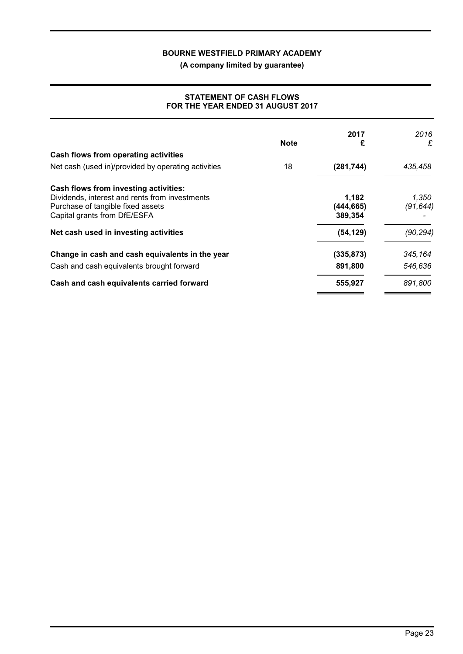(A company limited by guarantee)

### STATEMENT OF CASH FLOWS FOR THE YEAR ENDED 31 AUGUST 2017

|                                                                                                                                                              | <b>Note</b> | 2017<br>£                      | 2016<br>£          |
|--------------------------------------------------------------------------------------------------------------------------------------------------------------|-------------|--------------------------------|--------------------|
| Cash flows from operating activities                                                                                                                         |             |                                |                    |
| Net cash (used in)/provided by operating activities                                                                                                          | 18          | (281, 744)                     | 435,458            |
| Cash flows from investing activities:<br>Dividends, interest and rents from investments<br>Purchase of tangible fixed assets<br>Capital grants from DfE/ESFA |             | 1,182<br>(444, 665)<br>389,354 | 1,350<br>(91, 644) |
| Net cash used in investing activities                                                                                                                        |             | (54, 129)                      | (90, 294)          |
| Change in cash and cash equivalents in the year                                                                                                              |             | (335, 873)                     | 345,164            |
| Cash and cash equivalents brought forward                                                                                                                    |             | 891,800                        | 546,636            |
| Cash and cash equivalents carried forward                                                                                                                    |             | 555,927                        | 891,800            |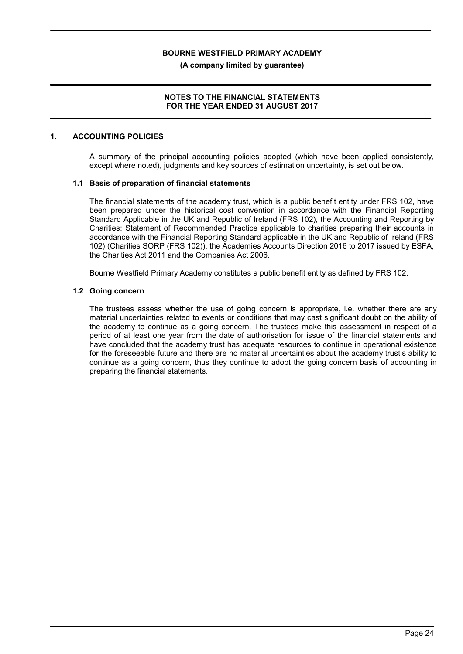(A company limited by guarantee)

### NOTES TO THE FINANCIAL STATEMENTS FOR THE YEAR ENDED 31 AUGUST 2017

#### 1. ACCOUNTING POLICIES

A summary of the principal accounting policies adopted (which have been applied consistently, except where noted), judgments and key sources of estimation uncertainty, is set out below.

### 1.1 Basis of preparation of financial statements

The financial statements of the academy trust, which is a public benefit entity under FRS 102, have been prepared under the historical cost convention in accordance with the Financial Reporting Standard Applicable in the UK and Republic of Ireland (FRS 102), the Accounting and Reporting by Charities: Statement of Recommended Practice applicable to charities preparing their accounts in accordance with the Financial Reporting Standard applicable in the UK and Republic of Ireland (FRS 102) (Charities SORP (FRS 102)), the Academies Accounts Direction 2016 to 2017 issued by ESFA, the Charities Act 2011 and the Companies Act 2006.

Bourne Westfield Primary Academy constitutes a public benefit entity as defined by FRS 102.

#### 1.2 Going concern

The trustees assess whether the use of going concern is appropriate, i.e. whether there are any material uncertainties related to events or conditions that may cast significant doubt on the ability of the academy to continue as a going concern. The trustees make this assessment in respect of a period of at least one year from the date of authorisation for issue of the financial statements and have concluded that the academy trust has adequate resources to continue in operational existence for the foreseeable future and there are no material uncertainties about the academy trust's ability to continue as a going concern, thus they continue to adopt the going concern basis of accounting in preparing the financial statements.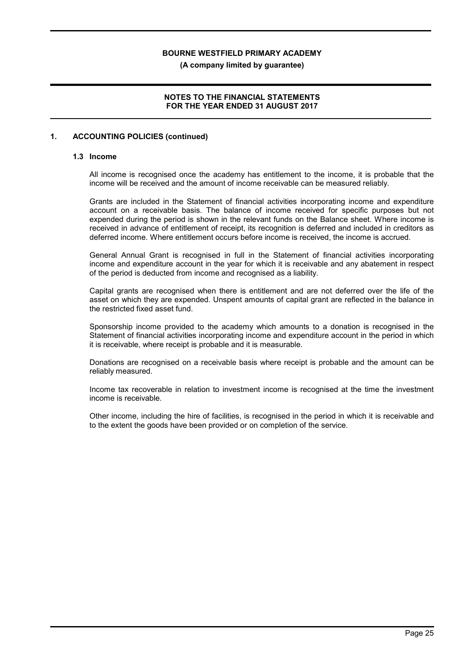(A company limited by guarantee)

### NOTES TO THE FINANCIAL STATEMENTS FOR THE YEAR ENDED 31 AUGUST 2017

#### 1. ACCOUNTING POLICIES (continued)

#### 1.3 Income

All income is recognised once the academy has entitlement to the income, it is probable that the income will be received and the amount of income receivable can be measured reliably.

Grants are included in the Statement of financial activities incorporating income and expenditure account on a receivable basis. The balance of income received for specific purposes but not expended during the period is shown in the relevant funds on the Balance sheet. Where income is received in advance of entitlement of receipt, its recognition is deferred and included in creditors as deferred income. Where entitlement occurs before income is received, the income is accrued.

General Annual Grant is recognised in full in the Statement of financial activities incorporating income and expenditure account in the year for which it is receivable and any abatement in respect of the period is deducted from income and recognised as a liability.

Capital grants are recognised when there is entitlement and are not deferred over the life of the asset on which they are expended. Unspent amounts of capital grant are reflected in the balance in the restricted fixed asset fund.

Sponsorship income provided to the academy which amounts to a donation is recognised in the Statement of financial activities incorporating income and expenditure account in the period in which it is receivable, where receipt is probable and it is measurable.

Donations are recognised on a receivable basis where receipt is probable and the amount can be reliably measured.

Income tax recoverable in relation to investment income is recognised at the time the investment income is receivable.

Other income, including the hire of facilities, is recognised in the period in which it is receivable and to the extent the goods have been provided or on completion of the service.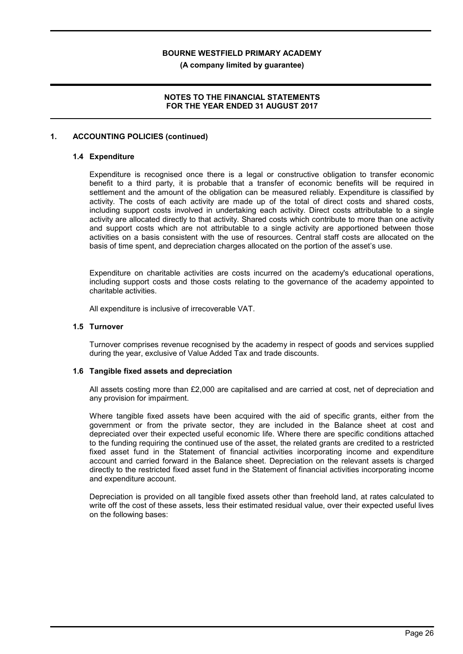(A company limited by guarantee)

### NOTES TO THE FINANCIAL STATEMENTS FOR THE YEAR ENDED 31 AUGUST 2017

#### 1. ACCOUNTING POLICIES (continued)

#### 1.4 Expenditure

Expenditure is recognised once there is a legal or constructive obligation to transfer economic benefit to a third party, it is probable that a transfer of economic benefits will be required in settlement and the amount of the obligation can be measured reliably. Expenditure is classified by activity. The costs of each activity are made up of the total of direct costs and shared costs, including support costs involved in undertaking each activity. Direct costs attributable to a single activity are allocated directly to that activity. Shared costs which contribute to more than one activity and support costs which are not attributable to a single activity are apportioned between those activities on a basis consistent with the use of resources. Central staff costs are allocated on the basis of time spent, and depreciation charges allocated on the portion of the asset's use.

Expenditure on charitable activities are costs incurred on the academy's educational operations, including support costs and those costs relating to the governance of the academy appointed to charitable activities.

All expenditure is inclusive of irrecoverable VAT.

#### 1.5 Turnover

Turnover comprises revenue recognised by the academy in respect of goods and services supplied during the year, exclusive of Value Added Tax and trade discounts.

#### 1.6 Tangible fixed assets and depreciation

All assets costing more than £2,000 are capitalised and are carried at cost, net of depreciation and any provision for impairment.

Where tangible fixed assets have been acquired with the aid of specific grants, either from the government or from the private sector, they are included in the Balance sheet at cost and depreciated over their expected useful economic life. Where there are specific conditions attached to the funding requiring the continued use of the asset, the related grants are credited to a restricted fixed asset fund in the Statement of financial activities incorporating income and expenditure account and carried forward in the Balance sheet. Depreciation on the relevant assets is charged directly to the restricted fixed asset fund in the Statement of financial activities incorporating income and expenditure account.

Depreciation is provided on all tangible fixed assets other than freehold land, at rates calculated to write off the cost of these assets, less their estimated residual value, over their expected useful lives on the following bases: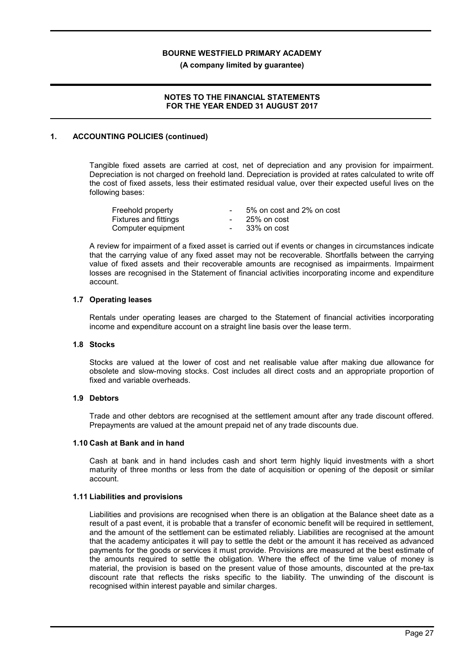(A company limited by guarantee)

### NOTES TO THE FINANCIAL STATEMENTS FOR THE YEAR ENDED 31 AUGUST 2017

### 1. ACCOUNTING POLICIES (continued)

Tangible fixed assets are carried at cost, net of depreciation and any provision for impairment. Depreciation is not charged on freehold land. Depreciation is provided at rates calculated to write off the cost of fixed assets, less their estimated residual value, over their expected useful lives on the following bases:

| Freehold property            | 5% on cost and 2% on cost |
|------------------------------|---------------------------|
| <b>Fixtures and fittings</b> | 25% on cost               |
| Computer equipment           | 33% on cost               |

A review for impairment of a fixed asset is carried out if events or changes in circumstances indicate that the carrying value of any fixed asset may not be recoverable. Shortfalls between the carrying value of fixed assets and their recoverable amounts are recognised as impairments. Impairment losses are recognised in the Statement of financial activities incorporating income and expenditure account.

#### 1.7 Operating leases

Rentals under operating leases are charged to the Statement of financial activities incorporating income and expenditure account on a straight line basis over the lease term.

#### 1.8 Stocks

Stocks are valued at the lower of cost and net realisable value after making due allowance for obsolete and slow-moving stocks. Cost includes all direct costs and an appropriate proportion of fixed and variable overheads.

#### 1.9 Debtors

Trade and other debtors are recognised at the settlement amount after any trade discount offered. Prepayments are valued at the amount prepaid net of any trade discounts due.

#### 1.10 Cash at Bank and in hand

Cash at bank and in hand includes cash and short term highly liquid investments with a short maturity of three months or less from the date of acquisition or opening of the deposit or similar account.

#### 1.11 Liabilities and provisions

Liabilities and provisions are recognised when there is an obligation at the Balance sheet date as a result of a past event, it is probable that a transfer of economic benefit will be required in settlement, and the amount of the settlement can be estimated reliably. Liabilities are recognised at the amount that the academy anticipates it will pay to settle the debt or the amount it has received as advanced payments for the goods or services it must provide. Provisions are measured at the best estimate of the amounts required to settle the obligation. Where the effect of the time value of money is material, the provision is based on the present value of those amounts, discounted at the pre-tax discount rate that reflects the risks specific to the liability. The unwinding of the discount is recognised within interest payable and similar charges.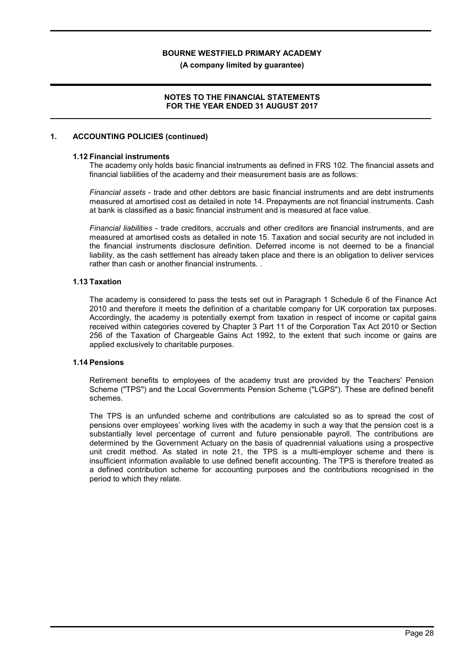(A company limited by guarantee)

### NOTES TO THE FINANCIAL STATEMENTS FOR THE YEAR ENDED 31 AUGUST 2017

#### 1. ACCOUNTING POLICIES (continued)

#### 1.12 Financial instruments

The academy only holds basic financial instruments as defined in FRS 102. The financial assets and financial liabilities of the academy and their measurement basis are as follows:

Financial assets - trade and other debtors are basic financial instruments and are debt instruments measured at amortised cost as detailed in note 14. Prepayments are not financial instruments. Cash at bank is classified as a basic financial instrument and is measured at face value.

Financial liabilities - trade creditors, accruals and other creditors are financial instruments, and are measured at amortised costs as detailed in note 15. Taxation and social security are not included in the financial instruments disclosure definition. Deferred income is not deemed to be a financial liability, as the cash settlement has already taken place and there is an obligation to deliver services rather than cash or another financial instruments. .

#### 1.13 Taxation

The academy is considered to pass the tests set out in Paragraph 1 Schedule 6 of the Finance Act 2010 and therefore it meets the definition of a charitable company for UK corporation tax purposes. Accordingly, the academy is potentially exempt from taxation in respect of income or capital gains received within categories covered by Chapter 3 Part 11 of the Corporation Tax Act 2010 or Section 256 of the Taxation of Chargeable Gains Act 1992, to the extent that such income or gains are applied exclusively to charitable purposes.

#### 1.14 Pensions

Retirement benefits to employees of the academy trust are provided by the Teachers' Pension Scheme ("TPS") and the Local Governments Pension Scheme ("LGPS"). These are defined benefit schemes.

The TPS is an unfunded scheme and contributions are calculated so as to spread the cost of pensions over employees' working lives with the academy in such a way that the pension cost is a substantially level percentage of current and future pensionable payroll. The contributions are determined by the Government Actuary on the basis of quadrennial valuations using a prospective unit credit method. As stated in note 21, the TPS is a multi-employer scheme and there is insufficient information available to use defined benefit accounting. The TPS is therefore treated as a defined contribution scheme for accounting purposes and the contributions recognised in the period to which they relate.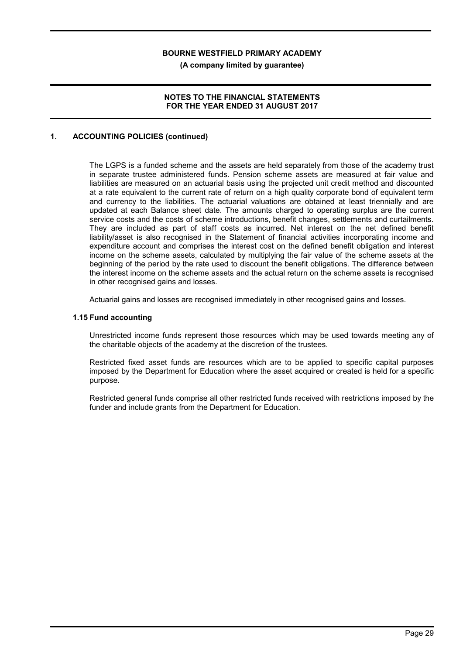(A company limited by guarantee)

### NOTES TO THE FINANCIAL STATEMENTS FOR THE YEAR ENDED 31 AUGUST 2017

### 1. ACCOUNTING POLICIES (continued)

The LGPS is a funded scheme and the assets are held separately from those of the academy trust in separate trustee administered funds. Pension scheme assets are measured at fair value and liabilities are measured on an actuarial basis using the projected unit credit method and discounted at a rate equivalent to the current rate of return on a high quality corporate bond of equivalent term and currency to the liabilities. The actuarial valuations are obtained at least triennially and are updated at each Balance sheet date. The amounts charged to operating surplus are the current service costs and the costs of scheme introductions, benefit changes, settlements and curtailments. They are included as part of staff costs as incurred. Net interest on the net defined benefit liability/asset is also recognised in the Statement of financial activities incorporating income and expenditure account and comprises the interest cost on the defined benefit obligation and interest income on the scheme assets, calculated by multiplying the fair value of the scheme assets at the beginning of the period by the rate used to discount the benefit obligations. The difference between the interest income on the scheme assets and the actual return on the scheme assets is recognised in other recognised gains and losses.

Actuarial gains and losses are recognised immediately in other recognised gains and losses.

#### 1.15 Fund accounting

Unrestricted income funds represent those resources which may be used towards meeting any of the charitable objects of the academy at the discretion of the trustees.

Restricted fixed asset funds are resources which are to be applied to specific capital purposes imposed by the Department for Education where the asset acquired or created is held for a specific purpose.

Restricted general funds comprise all other restricted funds received with restrictions imposed by the funder and include grants from the Department for Education.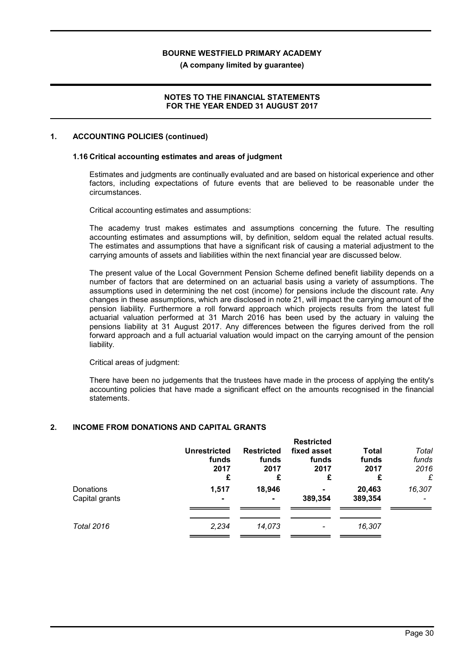(A company limited by guarantee)

### NOTES TO THE FINANCIAL STATEMENTS FOR THE YEAR ENDED 31 AUGUST 2017

#### 1. ACCOUNTING POLICIES (continued)

#### 1.16 Critical accounting estimates and areas of judgment

Estimates and judgments are continually evaluated and are based on historical experience and other factors, including expectations of future events that are believed to be reasonable under the circumstances.

Critical accounting estimates and assumptions:

The academy trust makes estimates and assumptions concerning the future. The resulting accounting estimates and assumptions will, by definition, seldom equal the related actual results. The estimates and assumptions that have a significant risk of causing a material adjustment to the carrying amounts of assets and liabilities within the next financial year are discussed below.

The present value of the Local Government Pension Scheme defined benefit liability depends on a number of factors that are determined on an actuarial basis using a variety of assumptions. The assumptions used in determining the net cost (income) for pensions include the discount rate. Any changes in these assumptions, which are disclosed in note 21, will impact the carrying amount of the pension liability. Furthermore a roll forward approach which projects results from the latest full actuarial valuation performed at 31 March 2016 has been used by the actuary in valuing the pensions liability at 31 August 2017. Any differences between the figures derived from the roll forward approach and a full actuarial valuation would impact on the carrying amount of the pension liability.

Critical areas of judgment:

There have been no judgements that the trustees have made in the process of applying the entity's accounting policies that have made a significant effect on the amounts recognised in the financial statements.

#### 2. INCOME FROM DONATIONS AND CAPITAL GRANTS

|                             | <b>Unrestricted</b><br>funds<br>2017<br>£ | <b>Restricted</b><br>funds<br>2017<br>£ | <b>Restricted</b><br>fixed asset<br>funds<br>2017<br>£ | Total<br>funds<br>2017<br>£ | Total<br>funds<br>2016<br>£ |
|-----------------------------|-------------------------------------------|-----------------------------------------|--------------------------------------------------------|-----------------------------|-----------------------------|
| Donations<br>Capital grants | 1,517<br>$\blacksquare$                   | 18,946                                  | 389,354                                                | 20,463<br>389,354           | 16,307                      |
| <b>Total 2016</b>           | 2,234                                     | 14,073                                  |                                                        | 16,307                      |                             |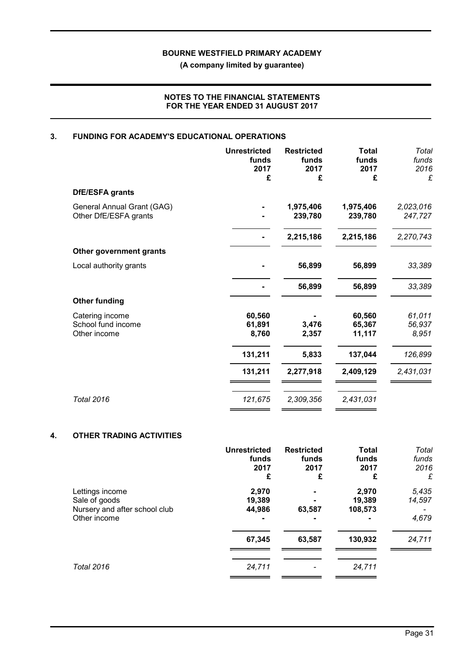(A company limited by guarantee)

### NOTES TO THE FINANCIAL STATEMENTS FOR THE YEAR ENDED 31 AUGUST 2017

# 3. FUNDING FOR ACADEMY'S EDUCATIONAL OPERATIONS

| <b>Unrestricted</b><br>funds<br>2017<br>£ | <b>Restricted</b><br>funds<br>2017<br>£ | <b>Total</b><br>funds<br>2017<br>£ | Total<br>funds<br>2016<br>£ |
|-------------------------------------------|-----------------------------------------|------------------------------------|-----------------------------|
|                                           |                                         |                                    |                             |
|                                           | 1,975,406<br>239,780                    | 1,975,406<br>239,780               | 2,023,016<br>247,727        |
|                                           | 2,215,186                               | 2,215,186                          | 2,270,743                   |
|                                           |                                         |                                    |                             |
|                                           | 56,899                                  | 56,899                             | 33,389                      |
|                                           | 56,899                                  | 56,899                             | 33,389                      |
|                                           |                                         |                                    |                             |
| 60,560<br>61,891<br>8,760                 | 3,476<br>2,357                          | 60,560<br>65,367<br>11,117         | 61,011<br>56,937<br>8,951   |
| 131,211                                   | 5,833                                   | 137,044                            | 126,899                     |
| 131,211                                   | 2,277,918                               | 2,409,129                          | 2,431,031                   |
| 121,675                                   | 2,309,356                               | 2,431,031                          |                             |
|                                           |                                         |                                    |                             |

### 4. OTHER TRADING ACTIVITIES

|                                                                                   | <b>Unrestricted</b><br>funds<br>2017<br>£ | <b>Restricted</b><br>funds<br>2017<br>£ | <b>Total</b><br>funds<br>2017<br>£ | Total<br>funds<br>2016<br>£ |
|-----------------------------------------------------------------------------------|-------------------------------------------|-----------------------------------------|------------------------------------|-----------------------------|
| Lettings income<br>Sale of goods<br>Nursery and after school club<br>Other income | 2,970<br>19,389<br>44,986                 | 63,587                                  | 2,970<br>19,389<br>108,573         | 5,435<br>14,597<br>4,679    |
|                                                                                   | 67,345                                    | 63,587                                  | 130,932                            | 24,711                      |
| <b>Total 2016</b>                                                                 | 24,711                                    |                                         | 24,711                             |                             |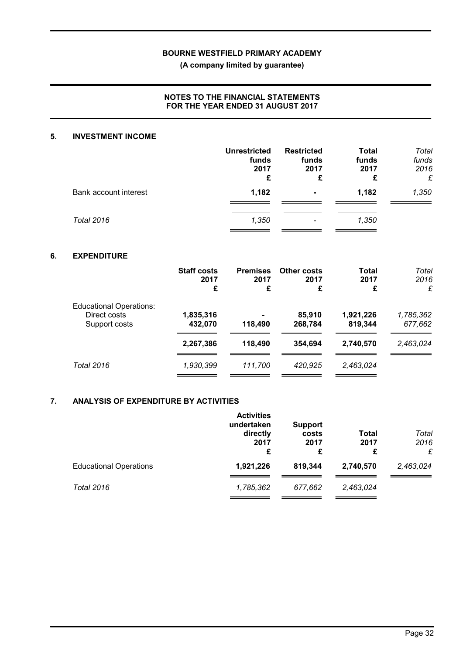(A company limited by guarantee)

### NOTES TO THE FINANCIAL STATEMENTS FOR THE YEAR ENDED 31 AUGUST 2017

#### 5. INVESTMENT INCOME

|                       | <b>Unrestricted</b><br>funds<br>2017<br>£ | <b>Restricted</b><br>funds<br>2017<br>£ | <b>Total</b><br>funds<br>2017<br>£ | Total<br>funds<br>2016<br>£ |
|-----------------------|-------------------------------------------|-----------------------------------------|------------------------------------|-----------------------------|
| Bank account interest | 1,182                                     | $\blacksquare$                          | 1,182                              | 1,350                       |
| <b>Total 2016</b>     | 1,350                                     | $\overline{\phantom{0}}$                | 1,350                              |                             |

### 6. EXPENDITURE

|                                                                 | <b>Staff costs</b><br>2017<br>£ | <b>Premises</b><br>2017<br>£        | Other costs<br>2017<br>£ | Total<br>2017<br>£   | Total<br>2016<br>£   |
|-----------------------------------------------------------------|---------------------------------|-------------------------------------|--------------------------|----------------------|----------------------|
| <b>Educational Operations:</b><br>Direct costs<br>Support costs | 1,835,316<br>432,070            | $\overline{\phantom{a}}$<br>118,490 | 85,910<br>268,784        | 1,921,226<br>819,344 | 1,785,362<br>677,662 |
|                                                                 | 2,267,386                       | 118,490                             | 354.694                  | 2,740,570            | 2,463,024            |
| Total 2016                                                      | 1,930,399                       | 111,700                             | 420,925                  | 2,463,024            |                      |

#### 7. ANALYSIS OF EXPENDITURE BY ACTIVITIES

|                               | <b>Activities</b><br>undertaken<br>directly<br>2017<br>£ | <b>Support</b><br>costs<br>2017<br>£ | Total<br>2017<br>£ | Total<br>2016<br>£ |
|-------------------------------|----------------------------------------------------------|--------------------------------------|--------------------|--------------------|
| <b>Educational Operations</b> | 1,921,226                                                | 819,344                              | 2,740,570          | 2,463,024          |
| Total 2016                    | 1,785,362                                                | 677.662                              | 2,463,024          |                    |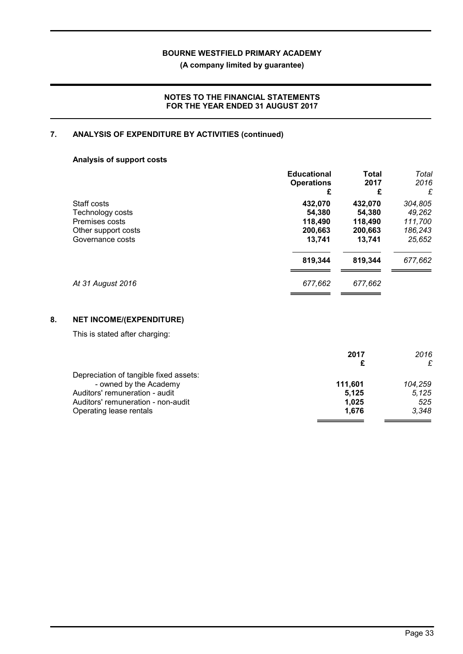(A company limited by guarantee)

### NOTES TO THE FINANCIAL STATEMENTS FOR THE YEAR ENDED 31 AUGUST 2017

# 7. ANALYSIS OF EXPENDITURE BY ACTIVITIES (continued)

### Analysis of support costs

|                     | <b>Educational</b><br><b>Operations</b><br>£ | <b>Total</b><br>2017<br>£ | Total<br>2016<br>£ |
|---------------------|----------------------------------------------|---------------------------|--------------------|
| Staff costs         | 432,070                                      | 432,070                   | 304,805            |
| Technology costs    | 54,380                                       | 54,380                    | 49,262             |
| Premises costs      | 118,490                                      | 118,490                   | 111,700            |
| Other support costs | 200,663                                      | 200,663                   | 186,243            |
| Governance costs    | 13,741                                       | 13,741                    | 25,652             |
|                     | 819,344                                      | 819,344                   | 677,662            |
| At 31 August 2016   | 677,662                                      | 677,662                   |                    |

# 8. NET INCOME/(EXPENDITURE)

This is stated after charging:

|                                        | 2017    | 2016    |
|----------------------------------------|---------|---------|
|                                        |         | £       |
| Depreciation of tangible fixed assets: |         |         |
| - owned by the Academy                 | 111.601 | 104.259 |
| Auditors' remuneration - audit         | 5.125   | 5.125   |
| Auditors' remuneration - non-audit     | 1.025   | 525     |
| Operating lease rentals                | 1.676   | 3.348   |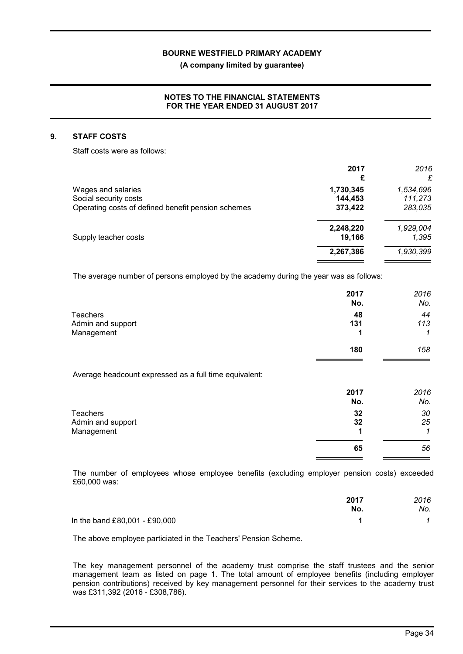(A company limited by guarantee)

### NOTES TO THE FINANCIAL STATEMENTS FOR THE YEAR ENDED 31 AUGUST 2017

#### 9. STAFF COSTS

Staff costs were as follows:

|                                                    | 2017<br>£ | 2016<br>£ |
|----------------------------------------------------|-----------|-----------|
| Wages and salaries                                 | 1,730,345 | 1,534,696 |
| Social security costs                              | 144,453   | 111,273   |
| Operating costs of defined benefit pension schemes | 373,422   | 283,035   |
|                                                    | 2,248,220 | 1,929,004 |
| Supply teacher costs                               | 19,166    | 1.395     |
|                                                    | 2,267,386 | 1,930,399 |
|                                                    |           |           |

The average number of persons employed by the academy during the year was as follows:

|                   | 2017<br>No. | 2016<br>No. |
|-------------------|-------------|-------------|
| <b>Teachers</b>   | 48          | 44          |
| Admin and support | 131         | 113         |
| Management        |             | 1           |
|                   | 180         | 158         |

Average headcount expressed as a full time equivalent:

|                   | 2017<br>No. | 2016<br>No. |
|-------------------|-------------|-------------|
| Teachers          | 32          | 30          |
| Admin and support | 32          | 25          |
| Management        |             |             |
|                   | 65          | 56          |
|                   |             |             |

The number of employees whose employee benefits (excluding employer pension costs) exceeded £60,000 was:

|                               | 2017 | 2016 |
|-------------------------------|------|------|
|                               | No.  | No.  |
| In the band £80,001 - £90,000 |      |      |

The above employee particiated in the Teachers' Pension Scheme.

The key management personnel of the academy trust comprise the staff trustees and the senior management team as listed on page 1. The total amount of employee benefits (including employer pension contributions) received by key management personnel for their services to the academy trust was £311,392 (2016 - £308,786).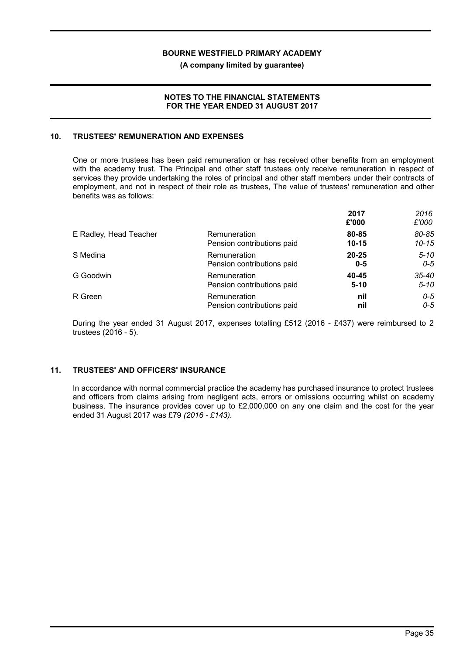(A company limited by guarantee)

#### NOTES TO THE FINANCIAL STATEMENTS FOR THE YEAR ENDED 31 AUGUST 2017

#### 10. TRUSTEES' REMUNERATION AND EXPENSES

One or more trustees has been paid remuneration or has received other benefits from an employment with the academy trust. The Principal and other staff trustees only receive remuneration in respect of services they provide undertaking the roles of principal and other staff members under their contracts of employment, and not in respect of their role as trustees, The value of trustees' remuneration and other benefits was as follows:

|                        |                            | 2017<br>£'000 | 2016<br>£'000 |
|------------------------|----------------------------|---------------|---------------|
| E Radley, Head Teacher | Remuneration               | 80-85         | 80-85         |
|                        | Pension contributions paid | $10 - 15$     | $10 - 15$     |
| S Medina               | Remuneration               | $20 - 25$     | $5 - 10$      |
|                        | Pension contributions paid | $0 - 5$       | $O - 5$       |
| G Goodwin              | Remuneration               | 40-45         | $35 - 40$     |
|                        | Pension contributions paid | $5 - 10$      | $5 - 10$      |
| R Green                | Remuneration               | nil           | $0 - 5$       |
|                        | Pension contributions paid | nil           | $0 - 5$       |

During the year ended 31 August 2017, expenses totalling £512 (2016 - £437) were reimbursed to 2 trustees (2016 - 5).

## 11. TRUSTEES' AND OFFICERS' INSURANCE

In accordance with normal commercial practice the academy has purchased insurance to protect trustees and officers from claims arising from negligent acts, errors or omissions occurring whilst on academy business. The insurance provides cover up to £2,000,000 on any one claim and the cost for the year ended 31 August 2017 was £79 (2016 - £143).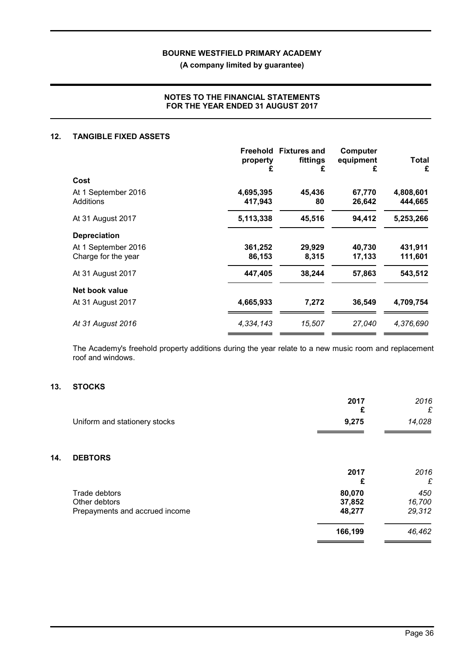(A company limited by guarantee)

### NOTES TO THE FINANCIAL STATEMENTS FOR THE YEAR ENDED 31 AUGUST 2017

#### 12. TANGIBLE FIXED ASSETS

|                     | property<br>£ | Freehold Fixtures and<br>fittings<br>£ | Computer<br>equipment<br>£ | Total<br>£ |
|---------------------|---------------|----------------------------------------|----------------------------|------------|
| Cost                |               |                                        |                            |            |
| At 1 September 2016 | 4,695,395     | 45,436                                 | 67,770                     | 4,808,601  |
| Additions           | 417,943       | 80                                     | 26,642                     | 444,665    |
| At 31 August 2017   | 5,113,338     | 45,516                                 | 94,412                     | 5,253,266  |
| <b>Depreciation</b> |               |                                        |                            |            |
| At 1 September 2016 | 361,252       | 29,929                                 | 40.730                     | 431,911    |
| Charge for the year | 86,153        | 8,315                                  | 17,133                     | 111,601    |
| At 31 August 2017   | 447,405       | 38,244                                 | 57,863                     | 543,512    |
| Net book value      |               |                                        |                            |            |
| At 31 August 2017   | 4,665,933     | 7,272                                  | 36,549                     | 4,709,754  |
| At 31 August 2016   | 4,334,143     | 15,507                                 | 27,040                     | 4,376,690  |

The Academy's freehold property additions during the year relate to a new music room and replacement roof and windows.

# 13. STOCKS

 $14.$ 

|                                | 2017<br>£ | 2016<br>£ |
|--------------------------------|-----------|-----------|
| Uniform and stationery stocks  | 9,275     | 14,028    |
| <b>DEBTORS</b>                 |           |           |
|                                | 2017<br>£ | 2016<br>£ |
| Trade debtors                  | 80,070    | 450       |
| Other debtors                  | 37,852    | 16,700    |
| Prepayments and accrued income | 48,277    | 29,312    |
|                                | 166,199   | 46,462    |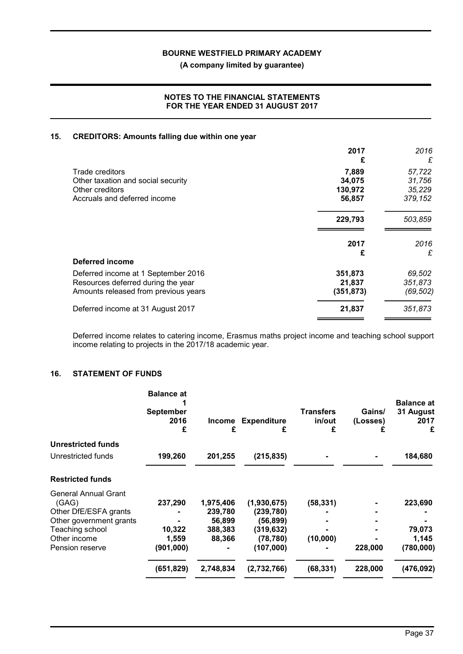(A company limited by guarantee)

### NOTES TO THE FINANCIAL STATEMENTS FOR THE YEAR ENDED 31 AUGUST 2017

### 15. CREDITORS: Amounts falling due within one year

|                                      | 2017<br>£  | 2016<br>£ |
|--------------------------------------|------------|-----------|
| Trade creditors                      | 7,889      | 57,722    |
| Other taxation and social security   | 34,075     | 31,756    |
| Other creditors                      | 130,972    | 35,229    |
| Accruals and deferred income         | 56,857     | 379,152   |
|                                      | 229,793    | 503,859   |
|                                      | 2017       | 2016      |
|                                      | £          | £         |
| Deferred income                      |            |           |
| Deferred income at 1 September 2016  | 351,873    | 69,502    |
| Resources deferred during the year   | 21,837     | 351,873   |
| Amounts released from previous years | (351, 873) | (69, 502) |
| Deferred income at 31 August 2017    | 21,837     | 351,873   |
|                                      |            |           |

Deferred income relates to catering income, Erasmus maths project income and teaching school support income relating to projects in the 2017/18 academic year.

#### 16. STATEMENT OF FUNDS

| <b>Balance at</b><br><b>September</b><br>2016<br>£ | <b>Income</b><br>£ | <b>Expenditure</b><br>£ | <b>Transfers</b><br>in/out<br>£ | Gains/<br>(Losses)<br>£ | <b>Balance at</b><br>31 August<br>2017<br>£ |
|----------------------------------------------------|--------------------|-------------------------|---------------------------------|-------------------------|---------------------------------------------|
|                                                    |                    |                         |                                 |                         |                                             |
| 199,260                                            | 201,255            | (215, 835)              |                                 |                         | 184,680                                     |
|                                                    |                    |                         |                                 |                         |                                             |
|                                                    |                    |                         |                                 |                         |                                             |
|                                                    | 1,975,406          | (1,930,675)             | (58, 331)                       |                         | 223,690                                     |
|                                                    | 239,780            | (239, 780)              |                                 |                         |                                             |
|                                                    | 56,899             | (56,899)                |                                 |                         |                                             |
| 10,322                                             | 388,383            | (319,632)               |                                 |                         | 79,073                                      |
| 1,559                                              | 88,366             | (78, 780)               | (10,000)                        |                         | 1,145                                       |
| (901,000)                                          |                    | (107,000)               |                                 | 228,000                 | (780,000)                                   |
| (651, 829)                                         | 2,748,834          | (2,732,766)             | (68, 331)                       | 228,000                 | (476, 092)                                  |
|                                                    | 237,290            |                         |                                 |                         |                                             |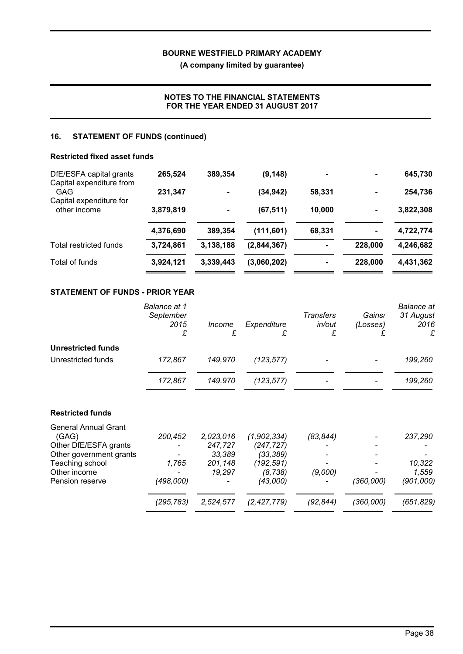(A company limited by guarantee)

# NOTES TO THE FINANCIAL STATEMENTS FOR THE YEAR ENDED 31 AUGUST 2017

### 16. STATEMENT OF FUNDS (continued)

#### Restricted fixed asset funds

| DfE/ESFA capital grants                 | 265,524   | 389,354        | (9, 148)    |        | $\blacksquare$               | 645,730   |
|-----------------------------------------|-----------|----------------|-------------|--------|------------------------------|-----------|
| Capital expenditure from<br><b>GAG</b>  | 231,347   | $\blacksquare$ | (34, 942)   | 58,331 |                              | 254,736   |
| Capital expenditure for<br>other income | 3,879,819 |                | (67, 511)   | 10,000 | $\qquad \qquad \blacksquare$ | 3,822,308 |
|                                         | 4,376,690 | 389,354        | (111, 601)  | 68,331 | $\blacksquare$               | 4,722,774 |
| Total restricted funds                  | 3,724,861 | 3,138,188      | (2,844,367) |        | 228,000                      | 4,246,682 |
| Total of funds                          | 3,924,121 | 3,339,443      | (3,060,202) |        | 228,000                      | 4,431,362 |

# STATEMENT OF FUNDS - PRIOR YEAR

|                                                                                          | <b>Balance at 1</b><br>September<br>2015<br>£ | Income<br>£                    | Expenditure<br>£                       | Transfers<br>in/out<br>£ | Gains/<br>(Losses)<br>£ | Balance at<br>31 August<br>2016<br>£ |
|------------------------------------------------------------------------------------------|-----------------------------------------------|--------------------------------|----------------------------------------|--------------------------|-------------------------|--------------------------------------|
| <b>Unrestricted funds</b>                                                                |                                               |                                |                                        |                          |                         |                                      |
| Unrestricted funds                                                                       | 172,867                                       | 149,970                        | (123, 577)                             |                          |                         | 199,260                              |
|                                                                                          | 172,867                                       | 149,970                        | (123, 577)                             |                          |                         | 199,260                              |
| <b>Restricted funds</b>                                                                  |                                               |                                |                                        |                          |                         |                                      |
| <b>General Annual Grant</b><br>(GAG)<br>Other DfE/ESFA grants<br>Other government grants | 200,452                                       | 2,023,016<br>247,727<br>33,389 | (1,902,334)<br>(247, 727)<br>(33, 389) | (83, 844)                |                         | 237,290                              |
| Teaching school<br>Other income                                                          | 1,765                                         | 201,148<br>19,297              | (192, 591)<br>(8, 738)                 | (9,000)                  |                         | 10,322<br>1,559                      |
| Pension reserve                                                                          | (498,000)                                     |                                | (43,000)                               |                          | (360,000)               | (901,000)                            |
|                                                                                          | (295,783)                                     | 2,524,577                      | (2, 427, 779)                          | (92,844)                 | (360,000)               | (651,829)                            |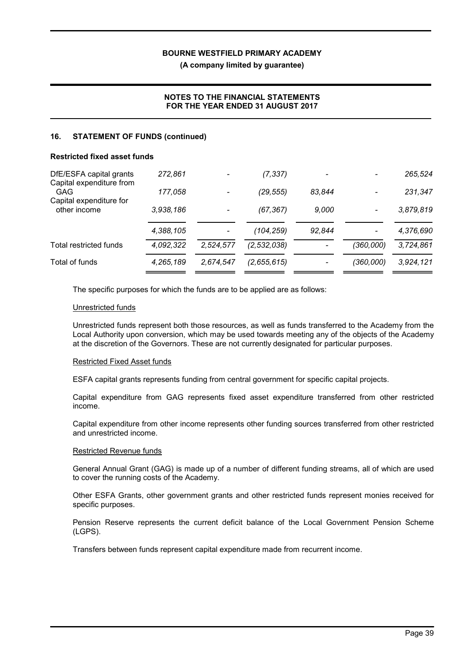(A company limited by guarantee)

# NOTES TO THE FINANCIAL STATEMENTS FOR THE YEAR ENDED 31 AUGUST 2017

#### 16. STATEMENT OF FUNDS (continued)

#### Restricted fixed asset funds

| DfE/ESFA capital grants                                    | 272.861   |           | (7, 337)      |        |           | 265,524   |
|------------------------------------------------------------|-----------|-----------|---------------|--------|-----------|-----------|
| Capital expenditure from<br>GAG<br>Capital expenditure for | 177,058   |           | (29, 555)     | 83.844 |           | 231,347   |
| other income                                               | 3,938,186 |           | (67, 367)     | 9,000  |           | 3,879,819 |
|                                                            | 4,388,105 |           | (104,259)     | 92,844 |           | 4,376,690 |
| Total restricted funds                                     | 4,092,322 | 2,524,577 | (2, 532, 038) |        | (360,000) | 3,724,861 |
| Total of funds                                             | 4,265,189 | 2,674,547 | (2,655,615)   |        | (360,000) | 3,924,121 |

The specific purposes for which the funds are to be applied are as follows:

#### Unrestricted funds

Unrestricted funds represent both those resources, as well as funds transferred to the Academy from the Local Authority upon conversion, which may be used towards meeting any of the objects of the Academy at the discretion of the Governors. These are not currently designated for particular purposes.

#### Restricted Fixed Asset funds

ESFA capital grants represents funding from central government for specific capital projects.

Capital expenditure from GAG represents fixed asset expenditure transferred from other restricted income.

Capital expenditure from other income represents other funding sources transferred from other restricted and unrestricted income.

#### Restricted Revenue funds

General Annual Grant (GAG) is made up of a number of different funding streams, all of which are used to cover the running costs of the Academy.

Other ESFA Grants, other government grants and other restricted funds represent monies received for specific purposes.

Pension Reserve represents the current deficit balance of the Local Government Pension Scheme (LGPS).

Transfers between funds represent capital expenditure made from recurrent income.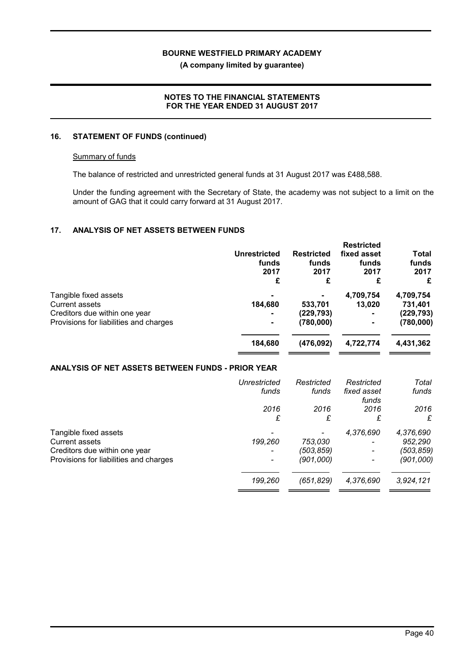(A company limited by guarantee)

### NOTES TO THE FINANCIAL STATEMENTS FOR THE YEAR ENDED 31 AUGUST 2017

#### 16. STATEMENT OF FUNDS (continued)

#### Summary of funds

The balance of restricted and unrestricted general funds at 31 August 2017 was £488,588.

Under the funding agreement with the Secretary of State, the academy was not subject to a limit on the amount of GAG that it could carry forward at 31 August 2017.

### 17. ANALYSIS OF NET ASSETS BETWEEN FUNDS

|                                        | <b>Unrestricted</b><br>funds<br>2017<br>£ | <b>Restricted</b><br>funds<br>2017<br>£ | <b>Restricted</b><br>fixed asset<br>funds<br>2017<br>£ | <b>Total</b><br>funds<br>2017<br>£ |
|----------------------------------------|-------------------------------------------|-----------------------------------------|--------------------------------------------------------|------------------------------------|
| Tangible fixed assets                  | $\blacksquare$                            |                                         | 4,709,754                                              | 4,709,754                          |
| <b>Current assets</b>                  | 184,680                                   | 533,701                                 | 13.020                                                 | 731,401                            |
| Creditors due within one year          | $\blacksquare$                            | (229, 793)                              |                                                        | (229,793)                          |
| Provisions for liabilities and charges | $\blacksquare$                            | (780,000)                               |                                                        | (780,000)                          |
|                                        | 184,680                                   | (476, 092)                              | 4,722,774                                              | 4,431,362                          |

#### ANALYSIS OF NET ASSETS BETWEEN FUNDS - PRIOR YEAR

|                                        | Unrestricted<br>funds | Restricted<br>funds | Restricted<br>fixed asset<br>funds | Total<br>funds |
|----------------------------------------|-----------------------|---------------------|------------------------------------|----------------|
|                                        | 2016                  | 2016                | 2016                               | 2016           |
|                                        | £                     | £                   | £                                  | £              |
| Tangible fixed assets                  |                       |                     | 4,376,690                          | 4,376,690      |
| <b>Current assets</b>                  | 199,260               | 753,030             |                                    | 952,290        |
| Creditors due within one year          |                       | (503,859)           |                                    | (503,859)      |
| Provisions for liabilities and charges |                       | (901,000)           |                                    | (901,000)      |
|                                        | 199,260               | (651, 829)          | 4,376,690                          | 3,924,121      |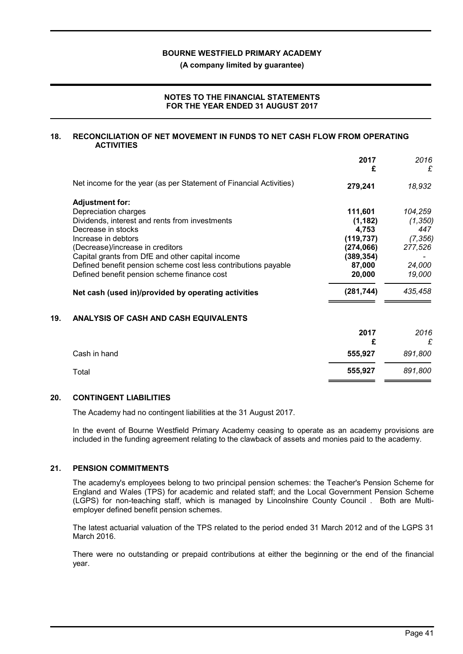(A company limited by guarantee)

### NOTES TO THE FINANCIAL STATEMENTS FOR THE YEAR ENDED 31 AUGUST 2017

#### 18. RECONCILIATION OF NET MOVEMENT IN FUNDS TO NET CASH FLOW FROM OPERATING **ACTIVITIES**

| 2017<br>£  | 2016<br>£ |
|------------|-----------|
| 279,241    | 18,932    |
|            |           |
| 111,601    | 104,259   |
| (1, 182)   | (1, 350)  |
| 4,753      | 447       |
| (119, 737) | (7, 356)  |
| (274,066)  | 277,526   |
| (389, 354) |           |
| 87,000     | 24,000    |
| 20,000     | 19,000    |
| (281, 744) | 435,458   |
|            |           |

#### 19. ANALYSIS OF CASH AND CASH EQUIVALENTS

|              | 2017<br>£ | 2016<br>£ |
|--------------|-----------|-----------|
| Cash in hand | 555,927   | 891,800   |
| Total        | 555,927   | 891,800   |

#### 20. CONTINGENT LIABILITIES

The Academy had no contingent liabilities at the 31 August 2017.

In the event of Bourne Westfield Primary Academy ceasing to operate as an academy provisions are included in the funding agreement relating to the clawback of assets and monies paid to the academy.

#### 21. PENSION COMMITMENTS

The academy's employees belong to two principal pension schemes: the Teacher's Pension Scheme for England and Wales (TPS) for academic and related staff; and the Local Government Pension Scheme (LGPS) for non-teaching staff, which is managed by Lincolnshire County Council . Both are Multiemployer defined benefit pension schemes.

The latest actuarial valuation of the TPS related to the period ended 31 March 2012 and of the LGPS 31 March 2016.

There were no outstanding or prepaid contributions at either the beginning or the end of the financial year.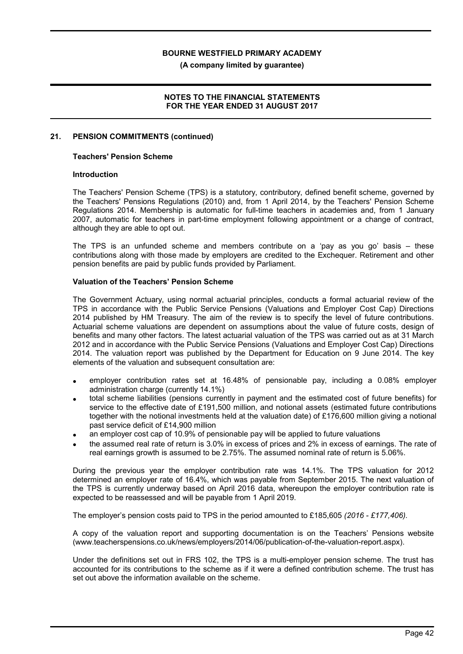(A company limited by guarantee)

#### NOTES TO THE FINANCIAL STATEMENTS FOR THE YEAR ENDED 31 AUGUST 2017

#### 21. PENSION COMMITMENTS (continued)

#### Teachers' Pension Scheme

#### Introduction

The Teachers' Pension Scheme (TPS) is a statutory, contributory, defined benefit scheme, governed by the Teachers' Pensions Regulations (2010) and, from 1 April 2014, by the Teachers' Pension Scheme Regulations 2014. Membership is automatic for full-time teachers in academies and, from 1 January 2007, automatic for teachers in part-time employment following appointment or a change of contract, although they are able to opt out.

The TPS is an unfunded scheme and members contribute on a 'pay as you go' basis – these contributions along with those made by employers are credited to the Exchequer. Retirement and other pension benefits are paid by public funds provided by Parliament.

#### Valuation of the Teachers' Pension Scheme

The Government Actuary, using normal actuarial principles, conducts a formal actuarial review of the TPS in accordance with the Public Service Pensions (Valuations and Employer Cost Cap) Directions 2014 published by HM Treasury. The aim of the review is to specify the level of future contributions. Actuarial scheme valuations are dependent on assumptions about the value of future costs, design of benefits and many other factors. The latest actuarial valuation of the TPS was carried out as at 31 March 2012 and in accordance with the Public Service Pensions (Valuations and Employer Cost Cap) Directions 2014. The valuation report was published by the Department for Education on 9 June 2014. The key elements of the valuation and subsequent consultation are:

- employer contribution rates set at 16.48% of pensionable pay, including a 0.08% employer administration charge (currently 14.1%)
- total scheme liabilities (pensions currently in payment and the estimated cost of future benefits) for service to the effective date of £191,500 million, and notional assets (estimated future contributions together with the notional investments held at the valuation date) of £176,600 million giving a notional past service deficit of £14,900 million
- an employer cost cap of 10.9% of pensionable pay will be applied to future valuations
- the assumed real rate of return is 3.0% in excess of prices and 2% in excess of earnings. The rate of real earnings growth is assumed to be 2.75%. The assumed nominal rate of return is 5.06%.

During the previous year the employer contribution rate was 14.1%. The TPS valuation for 2012 determined an employer rate of 16.4%, which was payable from September 2015. The next valuation of the TPS is currently underway based on April 2016 data, whereupon the employer contribution rate is expected to be reassessed and will be payable from 1 April 2019.

The employer's pension costs paid to TPS in the period amounted to £185,605 (2016 - £177,406).

A copy of the valuation report and supporting documentation is on the Teachers' Pensions website (www.teacherspensions.co.uk/news/employers/2014/06/publication-of-the-valuation-report.aspx).

Under the definitions set out in FRS 102, the TPS is a multi-employer pension scheme. The trust has accounted for its contributions to the scheme as if it were a defined contribution scheme. The trust has set out above the information available on the scheme.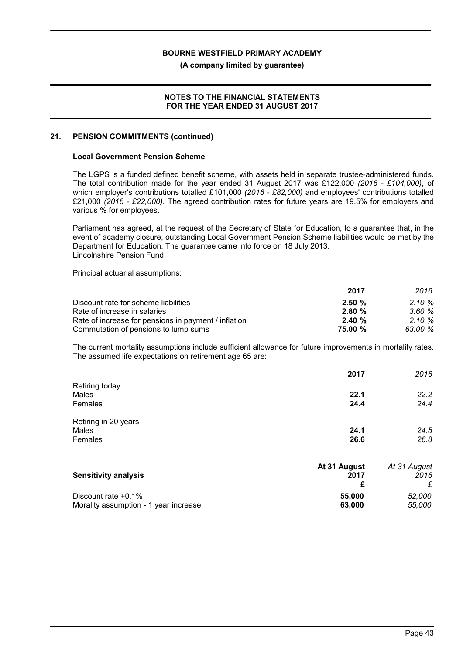(A company limited by guarantee)

#### NOTES TO THE FINANCIAL STATEMENTS FOR THE YEAR ENDED 31 AUGUST 2017

#### 21. PENSION COMMITMENTS (continued)

#### Local Government Pension Scheme

The LGPS is a funded defined benefit scheme, with assets held in separate trustee-administered funds. The total contribution made for the year ended 31 August 2017 was £122,000 (2016 - £104,000), of which employer's contributions totalled £101,000 (2016 - £82,000) and employees' contributions totalled £21,000 (2016 - £22,000). The agreed contribution rates for future years are 19.5% for employers and various % for employees.

Parliament has agreed, at the request of the Secretary of State for Education, to a guarantee that, in the event of academy closure, outstanding Local Government Pension Scheme liabilities would be met by the Department for Education. The guarantee came into force on 18 July 2013. Lincolnshire Pension Fund

Principal actuarial assumptions:

|                                                      | 2017    | 2016      |
|------------------------------------------------------|---------|-----------|
| Discount rate for scheme liabilities                 | 2.50%   | $2.10 \%$ |
| Rate of increase in salaries                         | 2.80%   | 3.60%     |
| Rate of increase for pensions in payment / inflation | 2.40%   | $2.10 \%$ |
| Commutation of pensions to lump sums                 | 75.00 % | 63.00 %   |

The current mortality assumptions include sufficient allowance for future improvements in mortality rates. The assumed life expectations on retirement age 65 are:

|                             | 2017         | 2016         |
|-----------------------------|--------------|--------------|
| Retiring today              |              |              |
| Males                       | 22.1         | 22.2         |
| Females                     | 24.4         | 24.4         |
| Retiring in 20 years        |              |              |
| Males                       | 24.1         | 24.5         |
| Females                     | 26.6         | 26.8         |
|                             | At 31 August | At 31 August |
| <b>Sensitivity analysis</b> | 2017         | 2016         |
|                             | £            | £            |
| Discount rate +0.1%         | 55,000       | 52,000       |

Morality assumption - 1 year increase 63,000 63,000 55,000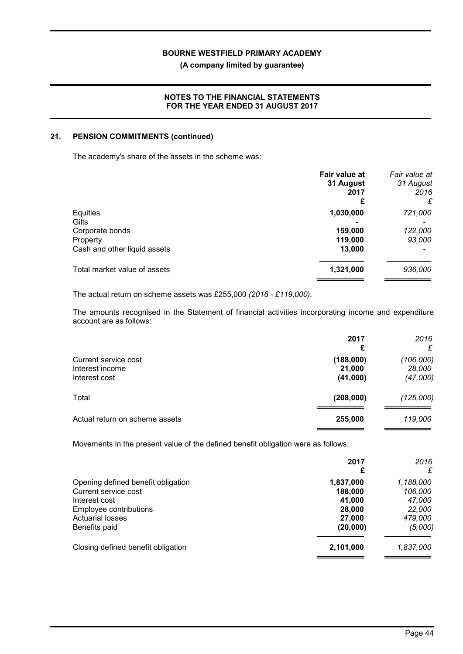(A company limited by guarantee)

### NOTES TO THE FINANCIAL STATEMENTS FOR THE YEAR ENDED 31 AUGUST 2017

#### 21. PENSION COMMITMENTS (continued)

The academy's share of the assets in the scheme was:

|                              | Fair value at<br>31 August<br>2017<br>£ | Fair value at<br>31 August<br>2016<br>£ |
|------------------------------|-----------------------------------------|-----------------------------------------|
| Equities                     | 1,030,000                               | 721,000                                 |
| Gilts                        |                                         |                                         |
| Corporate bonds              | 159,000                                 | 122,000                                 |
| Property                     | 119,000                                 | 93,000                                  |
| Cash and other liquid assets | 13,000                                  |                                         |
| Total market value of assets | 1,321,000                               | 936,000                                 |
|                              |                                         |                                         |

The actual return on scheme assets was £255,000 (2016 - £119,000).

The amounts recognised in the Statement of financial activities incorporating income and expenditure account are as follows:

|                                                          | 2017<br>£                       | 2016<br>£                       |
|----------------------------------------------------------|---------------------------------|---------------------------------|
| Current service cost<br>Interest income<br>Interest cost | (188,000)<br>21,000<br>(41,000) | (106,000)<br>28,000<br>(47,000) |
| Total                                                    | (208,000)                       | (125,000)                       |
| Actual return on scheme assets                           | 255,000                         | 119,000                         |

Movements in the present value of the defined benefit obligation were as follows:

|                                    | 2017<br>£ | 2016<br>£ |
|------------------------------------|-----------|-----------|
| Opening defined benefit obligation | 1,837,000 | 1,188,000 |
| Current service cost               | 188,000   | 106,000   |
| Interest cost                      | 41.000    | 47,000    |
| Employee contributions             | 28,000    | 22,000    |
| <b>Actuarial losses</b>            | 27,000    | 479,000   |
| Benefits paid                      | (20,000)  | (5,000)   |
| Closing defined benefit obligation | 2,101,000 | 1,837,000 |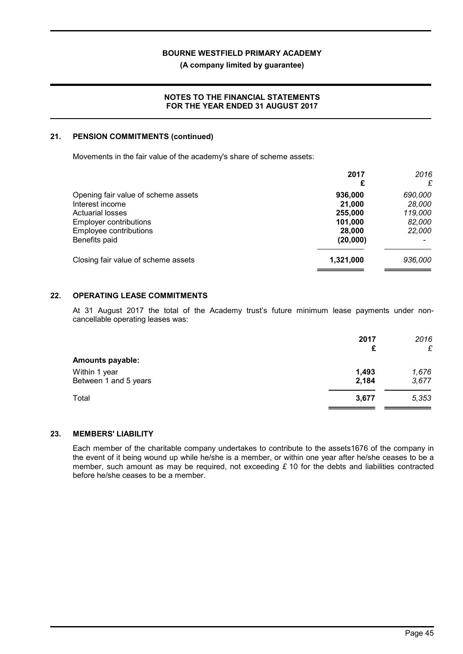(A company limited by guarantee)

### NOTES TO THE FINANCIAL STATEMENTS FOR THE YEAR ENDED 31 AUGUST 2017

#### 21. PENSION COMMITMENTS (continued)

Movements in the fair value of the academy's share of scheme assets:

|                                     | 2017<br>£ | 2016<br>£ |
|-------------------------------------|-----------|-----------|
| Opening fair value of scheme assets | 936,000   | 690,000   |
| Interest income                     | 21.000    | 28,000    |
| <b>Actuarial losses</b>             | 255,000   | 119,000   |
| <b>Employer contributions</b>       | 101,000   | 82,000    |
| Employee contributions              | 28,000    | 22,000    |
| Benefits paid                       | (20,000)  |           |
| Closing fair value of scheme assets | 1,321,000 | 936,000   |

# 22. OPERATING LEASE COMMITMENTS

At 31 August 2017 the total of the Academy trust's future minimum lease payments under noncancellable operating leases was:

|                         | 2017  | 2016  |
|-------------------------|-------|-------|
|                         | £     | £     |
| <b>Amounts payable:</b> |       |       |
| Within 1 year           | 1,493 | 1,676 |
| Between 1 and 5 years   | 2,184 | 3,677 |
| Total                   | 3,677 | 5,353 |
|                         |       |       |

#### 23. MEMBERS' LIABILITY

Each member of the charitable company undertakes to contribute to the assets1676 of the company in the event of it being wound up while he/she is a member, or within one year after he/she ceases to be a member, such amount as may be required, not exceeding  $\epsilon$  10 for the debts and liabilities contracted before he/she ceases to be a member.